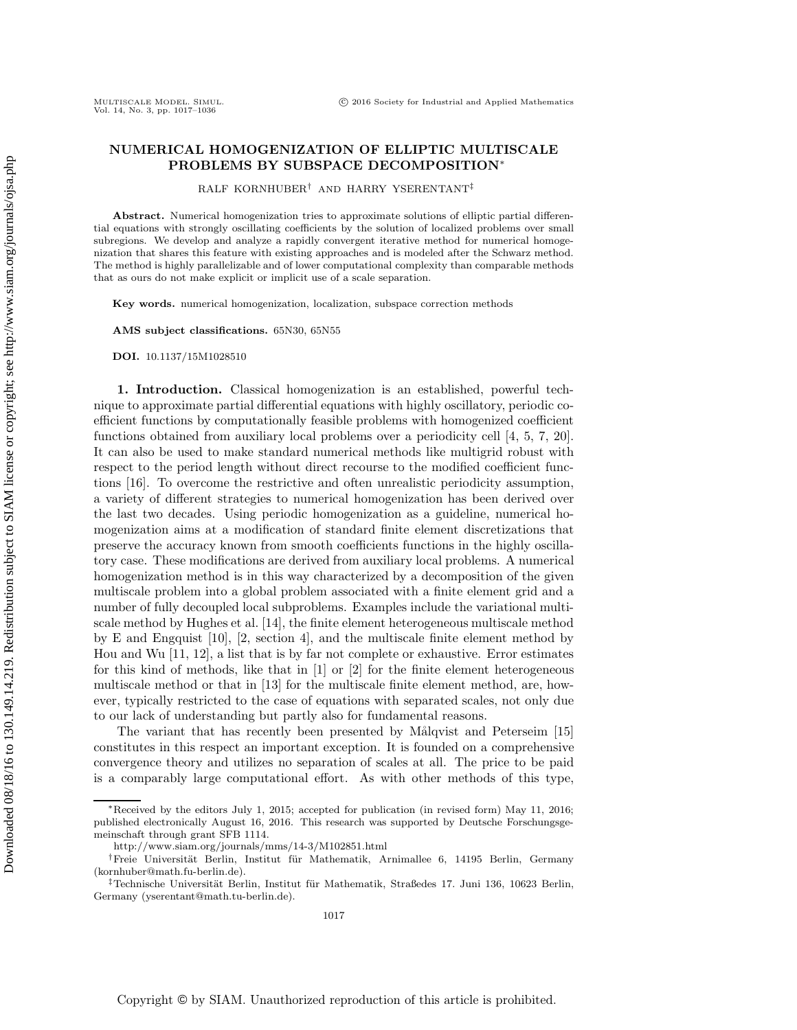# **NUMERICAL HOMOGENIZATION OF ELLIPTIC MULTISCALE PROBLEMS BY SUBSPACE DECOMPOSITION**∗

RALF KORNHUBER† AND HARRY YSERENTANT‡

**Abstract.** Numerical homogenization tries to approximate solutions of elliptic partial differential equations with strongly oscillating coefficients by the solution of localized problems over small subregions. We develop and analyze a rapidly convergent iterative method for numerical homogenization that shares this feature with existing approaches and is modeled after the Schwarz method. The method is highly parallelizable and of lower computational complexity than comparable methods that as ours do not make explicit or implicit use of a scale separation.

**Key words.** numerical homogenization, localization, subspace correction methods

**AMS subject classifications.** 65N30, 65N55

**DOI.** 10.1137/15M1028510

**1. Introduction.** Classical homogenization is an established, powerful technique to approximate partial differential equations with highly oscillatory, periodic coefficient functions by computationally feasible problems with homogenized coefficient functions obtained from auxiliary local problems over a periodicity cell [\[4,](#page-18-0) [5,](#page-18-1) [7,](#page-18-2) [20\]](#page-18-3). It can also be used to make standard numerical methods like multigrid robust with respect to the period length without direct recourse to the modified coefficient functions [\[16\]](#page-18-4). To overcome the restrictive and often unrealistic periodicity assumption, a variety of different strategies to numerical homogenization has been derived over the last two decades. Using periodic homogenization as a guideline, numerical homogenization aims at a modification of standard finite element discretizations that preserve the accuracy known from smooth coefficients functions in the highly oscillatory case. These modifications are derived from auxiliary local problems. A numerical homogenization method is in this way characterized by a decomposition of the given multiscale problem into a global problem associated with a finite element grid and a number of fully decoupled local subproblems. Examples include the variational multiscale method by Hughes et al. [\[14\]](#page-18-5), the finite element heterogeneous multiscale method by E and Engquist [\[10\]](#page-18-6), [\[2,](#page-18-7) section 4], and the multiscale finite element method by Hou and Wu [\[11,](#page-18-8) [12\]](#page-18-9), a list that is by far not complete or exhaustive. Error estimates for this kind of methods, like that in  $|1|$  or  $|2|$  for the finite element heterogeneous multiscale method or that in [\[13\]](#page-18-11) for the multiscale finite element method, are, however, typically restricted to the case of equations with separated scales, not only due to our lack of understanding but partly also for fundamental reasons.

The variant that has recently been presented by Målqvist and Peterseim [\[15\]](#page-18-12) constitutes in this respect an important exception. It is founded on a comprehensive convergence theory and utilizes no separation of scales at all. The price to be paid is a comparably large computational effort. As with other methods of this type,

<sup>∗</sup>Received by the editors July 1, 2015; accepted for publication (in revised form) May 11, 2016; published electronically August 16, 2016. This research was supported by Deutsche Forschungsgemeinschaft through grant SFB 1114.

<http://www.siam.org/journals/mms/14-3/M102851.html>

<sup>&</sup>lt;sup>†</sup>Freie Universität Berlin, Institut für Mathematik, Arnimallee 6, 14195 Berlin, Germany [\(kornhuber@math.fu-berlin.de\)](mailto:kornhuber@math.fu-berlin.de).

<sup>&</sup>lt;sup>‡</sup>Technische Universität Berlin, Institut für Mathematik, Straßedes 17. Juni 136, 10623 Berlin, Germany [\(yserentant@math.tu-berlin.de\)](mailto:yserentant@math.tu-berlin.de).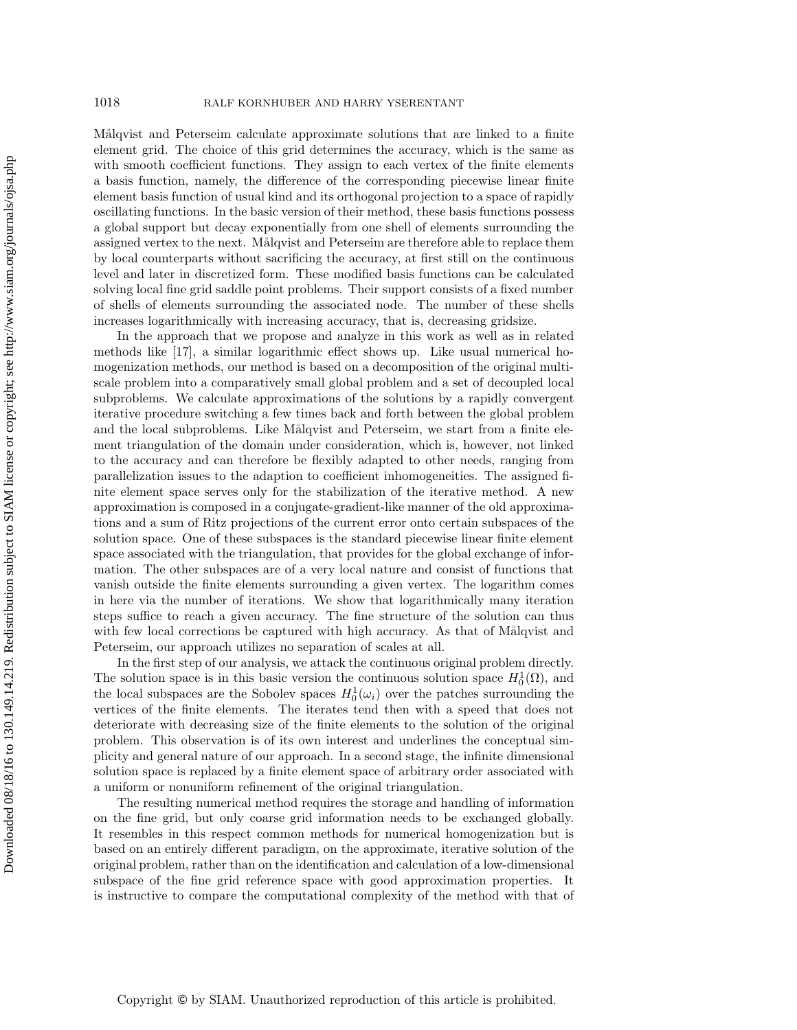Målqvist and Peterseim calculate approximate solutions that are linked to a finite element grid. The choice of this grid determines the accuracy, which is the same as with smooth coefficient functions. They assign to each vertex of the finite elements a basis function, namely, the difference of the corresponding piecewise linear finite element basis function of usual kind and its orthogonal projection to a space of rapidly oscillating functions. In the basic version of their method, these basis functions possess a global support but decay exponentially from one shell of elements surrounding the assigned vertex to the next. Målqvist and Peterseim are therefore able to replace them by local counterparts without sacrificing the accuracy, at first still on the continuous level and later in discretized form. These modified basis functions can be calculated solving local fine grid saddle point problems. Their support consists of a fixed number of shells of elements surrounding the associated node. The number of these shells increases logarithmically with increasing accuracy, that is, decreasing gridsize.

In the approach that we propose and analyze in this work as well as in related methods like [\[17\]](#page-18-13), a similar logarithmic effect shows up. Like usual numerical homogenization methods, our method is based on a decomposition of the original multiscale problem into a comparatively small global problem and a set of decoupled local subproblems. We calculate approximations of the solutions by a rapidly convergent iterative procedure switching a few times back and forth between the global problem and the local subproblems. Like Målqvist and Peterseim, we start from a finite element triangulation of the domain under consideration, which is, however, not linked to the accuracy and can therefore be flexibly adapted to other needs, ranging from parallelization issues to the adaption to coefficient inhomogeneities. The assigned finite element space serves only for the stabilization of the iterative method. A new approximation is composed in a conjugate-gradient-like manner of the old approximations and a sum of Ritz projections of the current error onto certain subspaces of the solution space. One of these subspaces is the standard piecewise linear finite element space associated with the triangulation, that provides for the global exchange of information. The other subspaces are of a very local nature and consist of functions that vanish outside the finite elements surrounding a given vertex. The logarithm comes in here via the number of iterations. We show that logarithmically many iteration steps suffice to reach a given accuracy. The fine structure of the solution can thus with few local corrections be captured with high accuracy. As that of Målqvist and Peterseim, our approach utilizes no separation of scales at all.

In the first step of our analysis, we attack the continuous original problem directly. The solution space is in this basic version the continuous solution space  $H_0^1(\Omega)$ , and the local subspaces are the Sobolev spaces  $H_0^1(\omega_i)$  over the patches surrounding the vertices of the finite elements. The iterates tend then with a speed that does not deteriorate with decreasing size of the finite elements to the solution of the original problem. This observation is of its own interest and underlines the conceptual simplicity and general nature of our approach. In a second stage, the infinite dimensional solution space is replaced by a finite element space of arbitrary order associated with a uniform or nonuniform refinement of the original triangulation.

The resulting numerical method requires the storage and handling of information on the fine grid, but only coarse grid information needs to be exchanged globally. It resembles in this respect common methods for numerical homogenization but is based on an entirely different paradigm, on the approximate, iterative solution of the original problem, rather than on the identification and calculation of a low-dimensional subspace of the fine grid reference space with good approximation properties. It is instructive to compare the computational complexity of the method with that of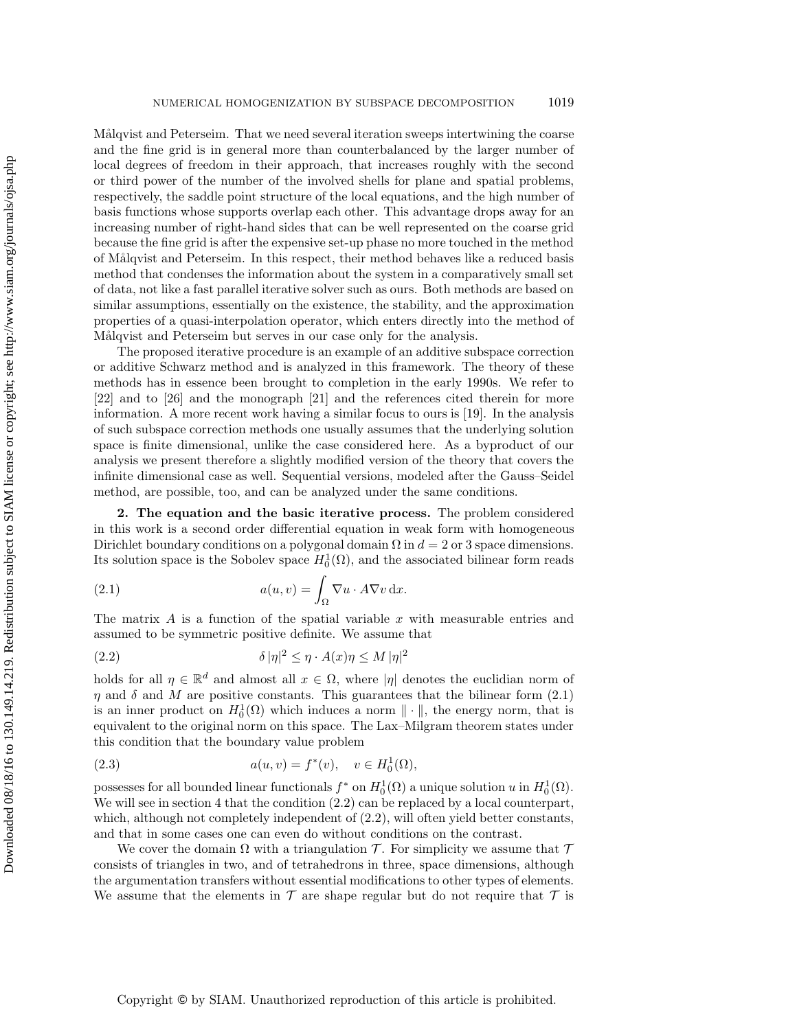Målqvist and Peterseim. That we need several iteration sweeps intertwining the coarse and the fine grid is in general more than counterbalanced by the larger number of local degrees of freedom in their approach, that increases roughly with the second or third power of the number of the involved shells for plane and spatial problems, respectively, the saddle point structure of the local equations, and the high number of basis functions whose supports overlap each other. This advantage drops away for an increasing number of right-hand sides that can be well represented on the coarse grid because the fine grid is after the expensive set-up phase no more touched in the method of Målqvist and Peterseim. In this respect, their method behaves like a reduced basis method that condenses the information about the system in a comparatively small set of data, not like a fast parallel iterative solver such as ours. Both methods are based on similar assumptions, essentially on the existence, the stability, and the approximation properties of a quasi-interpolation operator, which enters directly into the method of Målqvist and Peterseim but serves in our case only for the analysis.

The proposed iterative procedure is an example of an additive subspace correction or additive Schwarz method and is analyzed in this framework. The theory of these methods has in essence been brought to completion in the early 1990s. We refer to [\[22\]](#page-19-0) and to [\[26\]](#page-19-1) and the monograph [\[21\]](#page-19-2) and the references cited therein for more information. A more recent work having a similar focus to ours is [\[19\]](#page-18-14). In the analysis of such subspace correction methods one usually assumes that the underlying solution space is finite dimensional, unlike the case considered here. As a byproduct of our analysis we present therefore a slightly modified version of the theory that covers the infinite dimensional case as well. Sequential versions, modeled after the Gauss–Seidel method, are possible, too, and can be analyzed under the same conditions.

<span id="page-2-3"></span>**2. The equation and the basic iterative process.** The problem considered in this work is a second order differential equation in weak form with homogeneous Dirichlet boundary conditions on a polygonal domain  $\Omega$  in  $d = 2$  or 3 space dimensions. Its solution space is the Sobolev space  $H_0^1(\Omega)$ , and the associated bilinear form reads

<span id="page-2-0"></span>(2.1) 
$$
a(u,v) = \int_{\Omega} \nabla u \cdot A \nabla v \, dx.
$$

The matrix  $A$  is a function of the spatial variable  $x$  with measurable entries and assumed to be symmetric positive definite. We assume that

<span id="page-2-1"></span>(2.2) 
$$
\delta |\eta|^2 \le \eta \cdot A(x)\eta \le M |\eta|^2
$$

holds for all  $\eta \in \mathbb{R}^d$  and almost all  $x \in \Omega$ , where  $|\eta|$  denotes the euclidian norm of  $\eta$  and  $\delta$  and M are positive constants. This guarantees that the bilinear form [\(2.1\)](#page-2-0) is an inner product on  $H_0^1(\Omega)$  which induces a norm  $\|\cdot\|$ , the energy norm, that is equivalent to the original norm on this space. The Lax–Milgram theorem states under this condition that the boundary value problem

<span id="page-2-2"></span>(2.3) 
$$
a(u, v) = f^*(v), \quad v \in H_0^1(\Omega),
$$

possesses for all bounded linear functionals  $f^*$  on  $H_0^1(\Omega)$  a unique solution u in  $H_0^1(\Omega)$ . We will see in section [4](#page-6-0) that the condition  $(2.2)$  can be replaced by a local counterpart, which, although not completely independent of [\(2.2\)](#page-2-1), will often yield better constants, and that in some cases one can even do without conditions on the contrast.

We cover the domain  $\Omega$  with a triangulation T. For simplicity we assume that T consists of triangles in two, and of tetrahedrons in three, space dimensions, although the argumentation transfers without essential modifications to other types of elements. We assume that the elements in  $\mathcal T$  are shape regular but do not require that  $\mathcal T$  is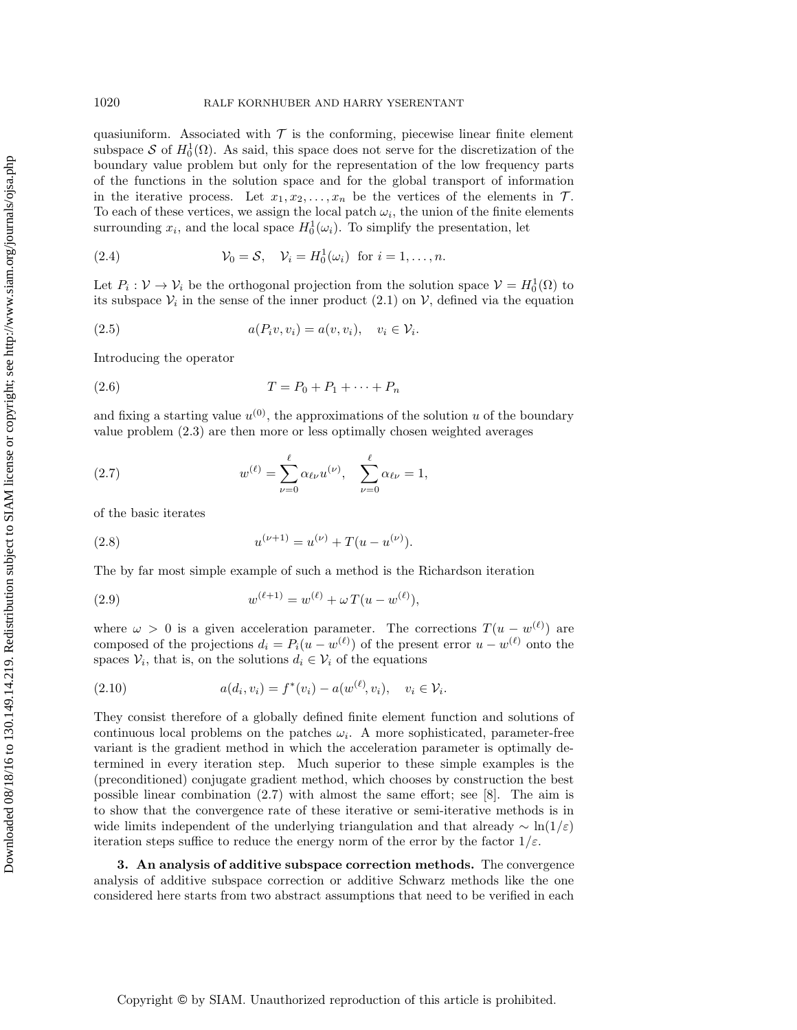quasiuniform. Associated with  $\mathcal T$  is the conforming, piecewise linear finite element subspace S of  $H_0^1(\Omega)$ . As said, this space does not serve for the discretization of the boundary value problem but only for the representation of the low frequency parts of the functions in the solution space and for the global transport of information in the iterative process. Let  $x_1, x_2, \ldots, x_n$  be the vertices of the elements in  $\mathcal{T}$ . To each of these vertices, we assign the local patch  $\omega_i$ , the union of the finite elements surrounding  $x_i$ , and the local space  $H_0^1(\omega_i)$ . To simplify the presentation, let

<span id="page-3-3"></span>(2.4) 
$$
\mathcal{V}_0 = \mathcal{S}, \quad \mathcal{V}_i = H_0^1(\omega_i) \text{ for } i = 1, \dots, n.
$$

Let  $P_i: \mathcal{V} \to \mathcal{V}_i$  be the orthogonal projection from the solution space  $\mathcal{V} = H_0^1(\Omega)$  to its subspace  $V_i$  in the sense of the inner product [\(2.1\)](#page-2-0) on V, defined via the equation

(2.5) 
$$
a(P_i v, v_i) = a(v, v_i), \quad v_i \in \mathcal{V}_i.
$$

Introducing the operator

<span id="page-3-1"></span>(2.6) 
$$
T = P_0 + P_1 + \dots + P_n
$$

and fixing a starting value  $u^{(0)}$ , the approximations of the solution u of the boundary value problem [\(2.3\)](#page-2-2) are then more or less optimally chosen weighted averages

<span id="page-3-0"></span>(2.7) 
$$
w^{(\ell)} = \sum_{\nu=0}^{\ell} \alpha_{\ell\nu} u^{(\nu)}, \quad \sum_{\nu=0}^{\ell} \alpha_{\ell\nu} = 1,
$$

of the basic iterates

<span id="page-3-2"></span>(2.8) 
$$
u^{(\nu+1)} = u^{(\nu)} + T(u - u^{(\nu)}).
$$

The by far most simple example of such a method is the Richardson iteration

(2.9) 
$$
w^{(\ell+1)} = w^{(\ell)} + \omega T(u - w^{(\ell)}),
$$

where  $\omega > 0$  is a given acceleration parameter. The corrections  $T(u - w^{(\ell)})$  are composed of the projections  $d_i = P_i(u - w^{(\ell)})$  of the present error  $u - w^{(\ell)}$  onto the spaces  $V_i$ , that is, on the solutions  $d_i \in V_i$  of the equations

(2.10) 
$$
a(d_i, v_i) = f^*(v_i) - a(w^{(\ell)}, v_i), \quad v_i \in \mathcal{V}_i.
$$

They consist therefore of a globally defined finite element function and solutions of continuous local problems on the patches  $\omega_i$ . A more sophisticated, parameter-free variant is the gradient method in which the acceleration parameter is optimally determined in every iteration step. Much superior to these simple examples is the (preconditioned) conjugate gradient method, which chooses by construction the best possible linear combination [\(2.7\)](#page-3-0) with almost the same effort; see [\[8\]](#page-18-15). The aim is to show that the convergence rate of these iterative or semi-iterative methods is in wide limits independent of the underlying triangulation and that already  $\sim \ln(1/\varepsilon)$ iteration steps suffice to reduce the energy norm of the error by the factor  $1/\varepsilon$ .

<span id="page-3-4"></span>**3. An analysis of additive subspace correction methods.** The convergence analysis of additive subspace correction or additive Schwarz methods like the one considered here starts from two abstract assumptions that need to be verified in each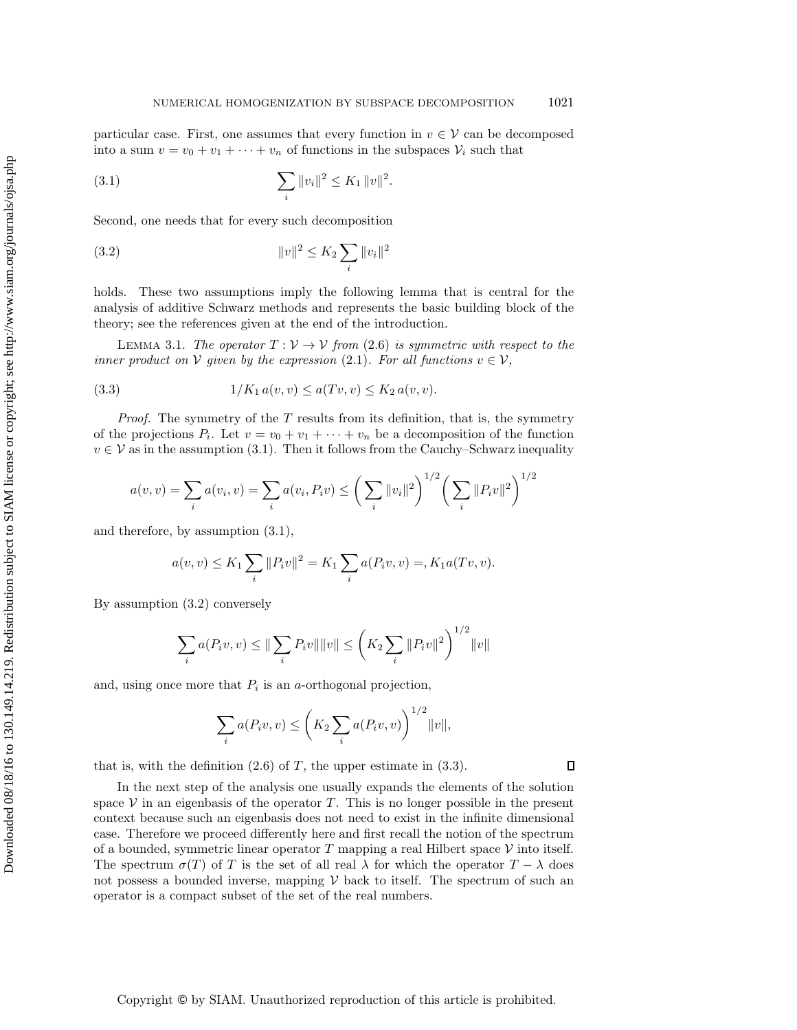particular case. First, one assumes that every function in  $v \in V$  can be decomposed into a sum  $v = v_0 + v_1 + \cdots + v_n$  of functions in the subspaces  $V_i$  such that

<span id="page-4-0"></span>(3.1) 
$$
\sum_{i} ||v_{i}||^{2} \leq K_{1} ||v||^{2}.
$$

Second, one needs that for every such decomposition

<span id="page-4-1"></span>(3.2) 
$$
||v||^2 \le K_2 \sum_i ||v_i||^2
$$

holds. These two assumptions imply the following lemma that is central for the analysis of additive Schwarz methods and represents the basic building block of the theory; see the references given at the end of the introduction.

LEMMA 3.1. *The operator*  $T : V \to V$  *from* [\(2.6\)](#page-3-1) *is symmetric with respect to the inner product on*  $V$  *given by the expression* [\(2.1\)](#page-2-0)*. For all functions*  $v \in V$ *,* 

(3.3) 
$$
1/K_1 a(v, v) \le a(Tv, v) \le K_2 a(v, v).
$$

*Proof.* The symmetry of the T results from its definition, that is, the symmetry of the projections  $P_i$ . Let  $v = v_0 + v_1 + \cdots + v_n$  be a decomposition of the function  $v \in V$  as in the assumption [\(3.1\)](#page-4-0). Then it follows from the Cauchy–Schwarz inequality

<span id="page-4-2"></span>
$$
a(v, v) = \sum_{i} a(v_i, v) = \sum_{i} a(v_i, P_i v) \le \left(\sum_{i} ||v_i||^2\right)^{1/2} \left(\sum_{i} ||P_i v||^2\right)^{1/2}
$$

and therefore, by assumption [\(3.1\)](#page-4-0),

$$
a(v, v) \le K_1 \sum_i ||P_i v||^2 = K_1 \sum_i a(P_i v, v) = K_1 a(Tv, v).
$$

By assumption [\(3.2\)](#page-4-1) conversely

$$
\sum_{i} a(P_i v, v) \le ||\sum_{i} P_i v|| ||v|| \le \left(K_2 \sum_{i} ||P_i v||^2\right)^{1/2} ||v||
$$

and, using once more that  $P_i$  is an a-orthogonal projection,

$$
\sum_{i} a(P_i v, v) \le \left(K_2 \sum_{i} a(P_i v, v)\right)^{1/2} ||v||,
$$

 $\Box$ 

that is, with the definition  $(2.6)$  of T, the upper estimate in  $(3.3)$ .

<span id="page-4-3"></span>In the next step of the analysis one usually expands the elements of the solution space  $\mathcal V$  in an eigenbasis of the operator T. This is no longer possible in the present context because such an eigenbasis does not need to exist in the infinite dimensional case. Therefore we proceed differently here and first recall the notion of the spectrum of a bounded, symmetric linear operator  $T$  mapping a real Hilbert space  $\mathcal V$  into itself. The spectrum  $\sigma(T)$  of T is the set of all real  $\lambda$  for which the operator  $T - \lambda$  does not possess a bounded inverse, mapping  $V$  back to itself. The spectrum of such an operator is a compact subset of the set of the real numbers.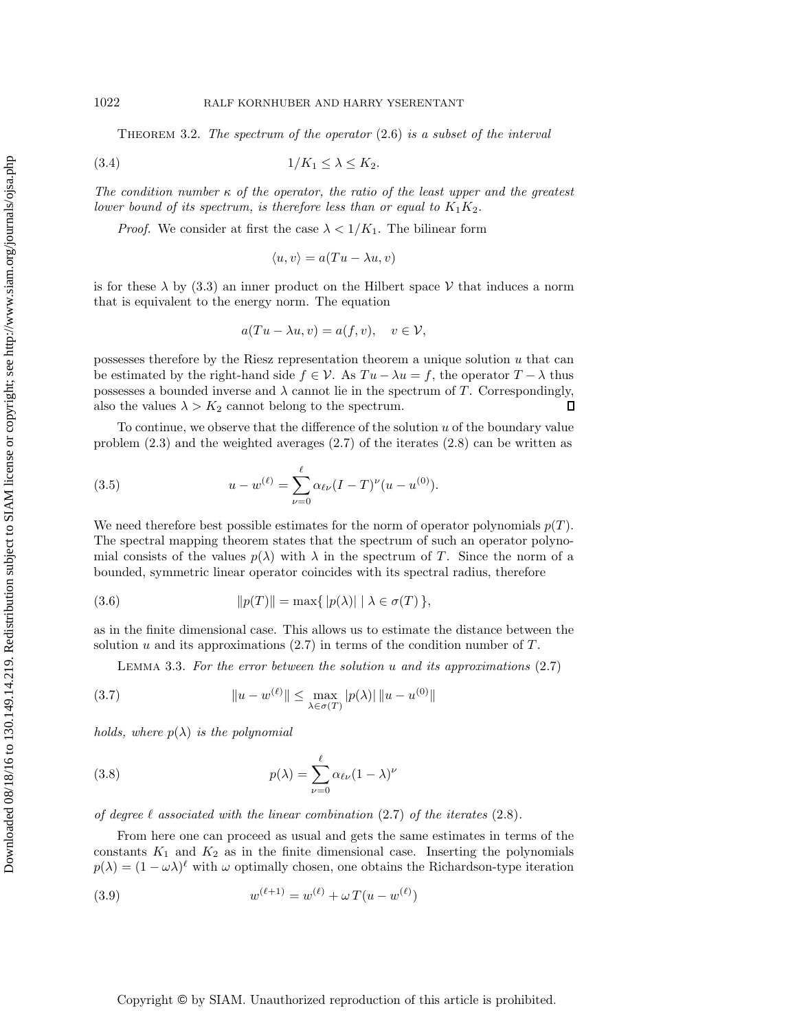Theorem 3.2. *The spectrum of the operator* [\(2.6\)](#page-3-1) *is a subset of the interval*

$$
(3.4) \t1/K_1 \leq \lambda \leq K_2.
$$

*The condition number* κ *of the operator, the ratio of the least upper and the greatest lower bound of its spectrum, is therefore less than or equal to*  $K_1K_2$ .

*Proof.* We consider at first the case  $\lambda < 1/K_1$ . The bilinear form

<span id="page-5-1"></span>
$$
\langle u, v \rangle = a(Tu - \lambda u, v)
$$

is for these  $\lambda$  by [\(3.3\)](#page-4-2) an inner product on the Hilbert space V that induces a norm that is equivalent to the energy norm. The equation

$$
a(Tu - \lambda u, v) = a(f, v), \quad v \in \mathcal{V},
$$

possesses therefore by the Riesz representation theorem a unique solution  $u$  that can be estimated by the right-hand side  $f \in \mathcal{V}$ . As  $Tu - \lambda u = f$ , the operator  $T - \lambda$  thus possesses a bounded inverse and  $\lambda$  cannot lie in the spectrum of T. Correspondingly,  $\mathsf{\Pi}$ also the values  $\lambda > K_2$  cannot belong to the spectrum.

To continue, we observe that the difference of the solution  $u$  of the boundary value problem [\(2.3\)](#page-2-2) and the weighted averages [\(2.7\)](#page-3-0) of the iterates [\(2.8\)](#page-3-2) can be written as

(3.5) 
$$
u - w^{(\ell)} = \sum_{\nu=0}^{\ell} \alpha_{\ell \nu} (I - T)^{\nu} (u - u^{(0)}).
$$

We need therefore best possible estimates for the norm of operator polynomials  $p(T)$ . The spectral mapping theorem states that the spectrum of such an operator polynomial consists of the values  $p(\lambda)$  with  $\lambda$  in the spectrum of T. Since the norm of a bounded, symmetric linear operator coincides with its spectral radius, therefore

$$
(3.6) \t\t\t ||p(T)|| = \max\{|p(\lambda)| \mid \lambda \in \sigma(T)\},\
$$

as in the finite dimensional case. This allows us to estimate the distance between the solution u and its approximations  $(2.7)$  in terms of the condition number of T.

<span id="page-5-0"></span>Lemma 3.3. *For the error between the solution* u *and its approximations* [\(2.7\)](#page-3-0)

(3.7) 
$$
||u - w^{(\ell)}|| \le \max_{\lambda \in \sigma(T)} |p(\lambda)| \, ||u - u^{(0)}||
$$

*holds, where*  $p(\lambda)$  *is the polynomial* 

(3.8) 
$$
p(\lambda) = \sum_{\nu=0}^{\ell} \alpha_{\ell\nu} (1-\lambda)^{\nu}
$$

*of degree associated with the linear combination* [\(2.7\)](#page-3-0) *of the iterates* [\(2.8\)](#page-3-2)*.*

From here one can proceed as usual and gets the same estimates in terms of the constants  $K_1$  and  $K_2$  as in the finite dimensional case. Inserting the polynomials  $p(\lambda) = (1 - \omega \lambda)^{\ell}$  with  $\omega$  optimally chosen, one obtains the Richardson-type iteration

<span id="page-5-2"></span>(3.9) 
$$
w^{(\ell+1)} = w^{(\ell)} + \omega T(u - w^{(\ell)})
$$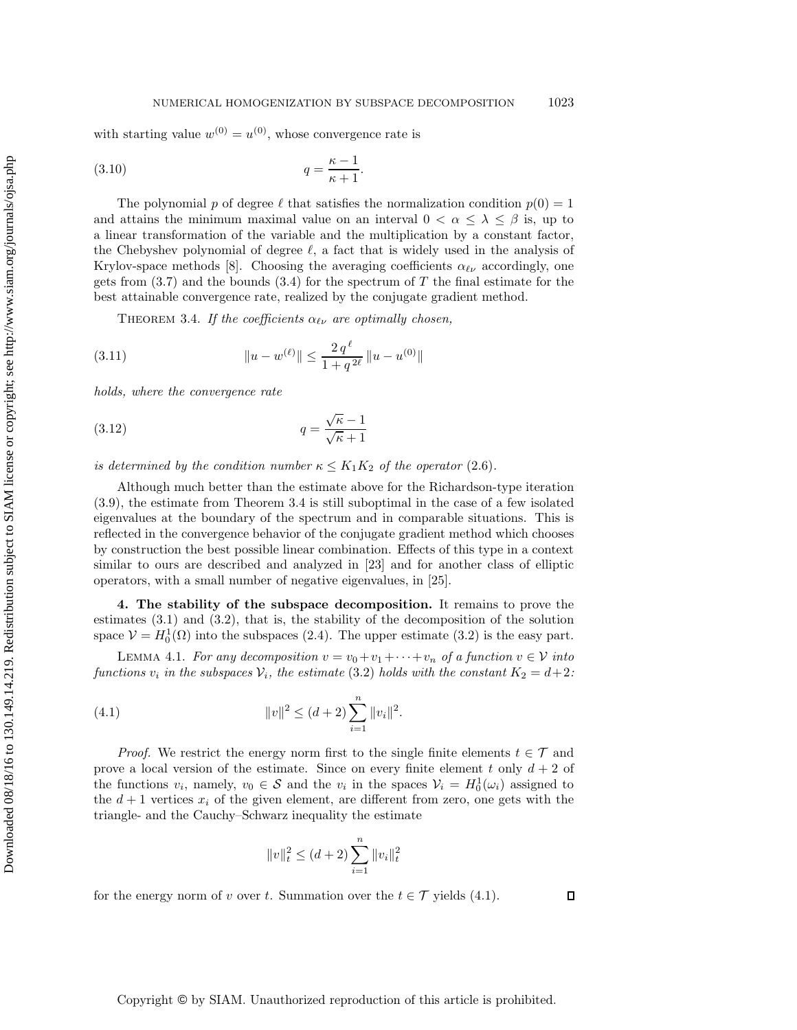with starting value  $w^{(0)} = u^{(0)}$ , whose convergence rate is

$$
(3.10) \t\t\t q = \frac{\kappa - 1}{\kappa + 1}.
$$

The polynomial p of degree  $\ell$  that satisfies the normalization condition  $p(0) = 1$ and attains the minimum maximal value on an interval  $0 < \alpha \leq \lambda \leq \beta$  is, up to a linear transformation of the variable and the multiplication by a constant factor, the Chebyshev polynomial of degree  $\ell$ , a fact that is widely used in the analysis of Krylov-space methods [\[8\]](#page-18-15). Choosing the averaging coefficients  $\alpha_{\ell\nu}$  accordingly, one gets from  $(3.7)$  and the bounds  $(3.4)$  for the spectrum of T the final estimate for the best attainable convergence rate, realized by the conjugate gradient method.

<span id="page-6-1"></span>THEOREM 3.4. If the coefficients  $\alpha_{\ell\nu}$  are optimally chosen,

(3.11) 
$$
||u - w^{(\ell)}|| \le \frac{2 q^{\ell}}{1 + q^{2\ell}} ||u - u^{(0)}||
$$

*holds, where the convergence rate*

$$
(3.12)\t\t\t q = \frac{\sqrt{\kappa} - 1}{\sqrt{\kappa} + 1}
$$

*is determined by the condition number*  $\kappa \leq K_1K_2$  *of the operator* [\(2.6\)](#page-3-1).

Although much better than the estimate above for the Richardson-type iteration [\(3.9\)](#page-5-2), the estimate from Theorem [3.4](#page-6-1) is still suboptimal in the case of a few isolated eigenvalues at the boundary of the spectrum and in comparable situations. This is reflected in the convergence behavior of the conjugate gradient method which chooses by construction the best possible linear combination. Effects of this type in a context similar to ours are described and analyzed in [\[23\]](#page-19-3) and for another class of elliptic operators, with a small number of negative eigenvalues, in [\[25\]](#page-19-4).

<span id="page-6-0"></span>**4. The stability of the subspace decomposition.** It remains to prove the estimates [\(3.1\)](#page-4-0) and [\(3.2\)](#page-4-1), that is, the stability of the decomposition of the solution space  $V = H_0^1(\Omega)$  into the subspaces [\(2.4\)](#page-3-3). The upper estimate [\(3.2\)](#page-4-1) is the easy part.

<span id="page-6-3"></span>LEMMA 4.1. *For any decomposition*  $v = v_0 + v_1 + \cdots + v_n$  *of a function*  $v \in V$  *into functions*  $v_i$  *in the subspaces*  $V_i$ *, the estimate* [\(3.2\)](#page-4-1) *holds with the constant*  $K_2 = d+2$ *:* 

(4.1) 
$$
||v||^2 \le (d+2) \sum_{i=1}^n ||v_i||^2.
$$

*Proof.* We restrict the energy norm first to the single finite elements  $t \in \mathcal{T}$  and prove a local version of the estimate. Since on every finite element t only  $d+2$  of the functions  $v_i$ , namely,  $v_0 \in \mathcal{S}$  and the  $v_i$  in the spaces  $\mathcal{V}_i = H_0^1(\omega_i)$  assigned to the  $d+1$  vertices  $x_i$  of the given element, are different from zero, one gets with the triangle- and the Cauchy–Schwarz inequality the estimate

<span id="page-6-2"></span>
$$
||v||_t^2 \le (d+2) \sum_{i=1}^n ||v_i||_t^2
$$

for the energy norm of v over t. Summation over the  $t \in \mathcal{T}$  yields [\(4.1\)](#page-6-2).

 $\Box$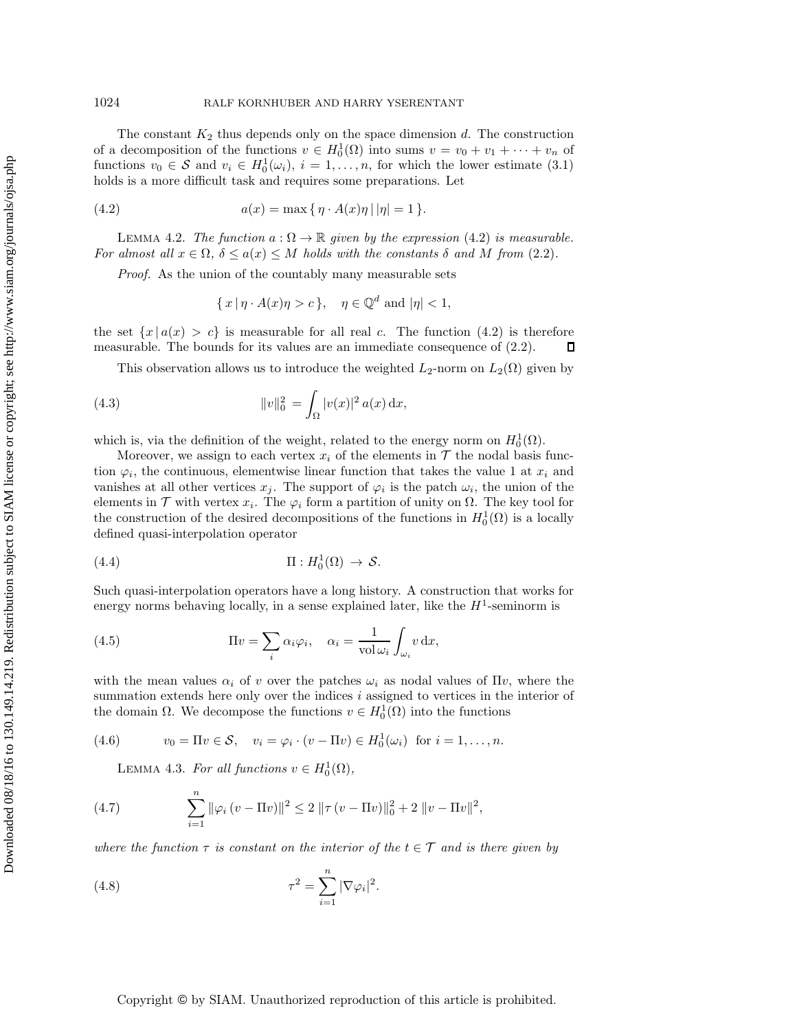The constant  $K_2$  thus depends only on the space dimension  $d$ . The construction of a decomposition of the functions  $v \in H_0^1(\Omega)$  into sums  $v = v_0 + v_1 + \cdots + v_n$  of functions  $v_0 \in S$  and  $v_i \in H_0^1(\omega_i)$ ,  $i = 1, \ldots, n$ , for which the lower estimate [\(3.1\)](#page-4-0) holds is a more difficult task and requires some preparations. Let

(4.2) 
$$
a(x) = \max \{ \eta \cdot A(x)\eta \, | \, |\eta| = 1 \}.
$$

LEMMA 4.2. *The function*  $a : \Omega \to \mathbb{R}$  *given by the expression* [\(4.2\)](#page-7-0) *is measurable. For almost all*  $x \in \Omega$ ,  $\delta \leq a(x) \leq M$  *holds with the constants*  $\delta$  *and*  $M$  *from* [\(2.2\)](#page-2-1)*.* 

*Proof.* As the union of the countably many measurable sets

<span id="page-7-0"></span>
$$
\{x \mid \eta \cdot A(x)\eta > c\}, \quad \eta \in \mathbb{Q}^d \text{ and } |\eta| < 1,
$$

the set  $\{x \mid a(x) > c\}$  is measurable for all real c. The function [\(4.2\)](#page-7-0) is therefore measurable. The bounds for its values are an immediate consequence of [\(2.2\)](#page-2-1).  $\Box$ 

This observation allows us to introduce the weighted  $L_2$ -norm on  $L_2(\Omega)$  given by

(4.3) 
$$
||v||_0^2 = \int_{\Omega} |v(x)|^2 a(x) dx,
$$

which is, via the definition of the weight, related to the energy norm on  $H_0^1(\Omega)$ .

Moreover, we assign to each vertex  $x_i$  of the elements in  $\mathcal T$  the nodal basis function  $\varphi_i$ , the continuous, elementwise linear function that takes the value 1 at  $x_i$  and vanishes at all other vertices  $x_j$ . The support of  $\varphi_i$  is the patch  $\omega_i$ , the union of the elements in  $\mathcal T$  with vertex  $x_i$ . The  $\varphi_i$  form a partition of unity on  $\Omega$ . The key tool for the construction of the desired decompositions of the functions in  $H_0^1(\Omega)$  is a locally defined quasi-interpolation operator

<span id="page-7-1"></span>(4.4) 
$$
\Pi: H_0^1(\Omega) \to \mathcal{S}.
$$

Such quasi-interpolation operators have a long history. A construction that works for energy norms behaving locally, in a sense explained later, like the  $H^1$ -seminorm is

<span id="page-7-2"></span>(4.5) 
$$
\Pi v = \sum_{i} \alpha_i \varphi_i, \quad \alpha_i = \frac{1}{\text{vol}\,\omega_i} \int_{\omega_i} v \, dx,
$$

with the mean values  $\alpha_i$  of v over the patches  $\omega_i$  as nodal values of  $\Pi v$ , where the summation extends here only over the indices  $i$  assigned to vertices in the interior of the domain  $\Omega$ . We decompose the functions  $v \in H_0^1(\Omega)$  into the functions

(4.6) 
$$
v_0 = \Pi v \in \mathcal{S}, \quad v_i = \varphi_i \cdot (v - \Pi v) \in H_0^1(\omega_i) \text{ for } i = 1, \dots, n.
$$

<span id="page-7-4"></span><span id="page-7-3"></span>LEMMA 4.3. *For all functions*  $v \in H_0^1(\Omega)$ ,

(4.7) 
$$
\sum_{i=1}^{n} \|\varphi_i(v - \Pi v)\|^2 \le 2 \|\tau(v - \Pi v)\|_0^2 + 2 \|v - \Pi v\|^2,
$$

*where the function*  $\tau$  *is constant on the interior of the*  $t \in \mathcal{T}$  *and is there given by* 

(4.8) 
$$
\tau^2 = \sum_{i=1}^n |\nabla \varphi_i|^2.
$$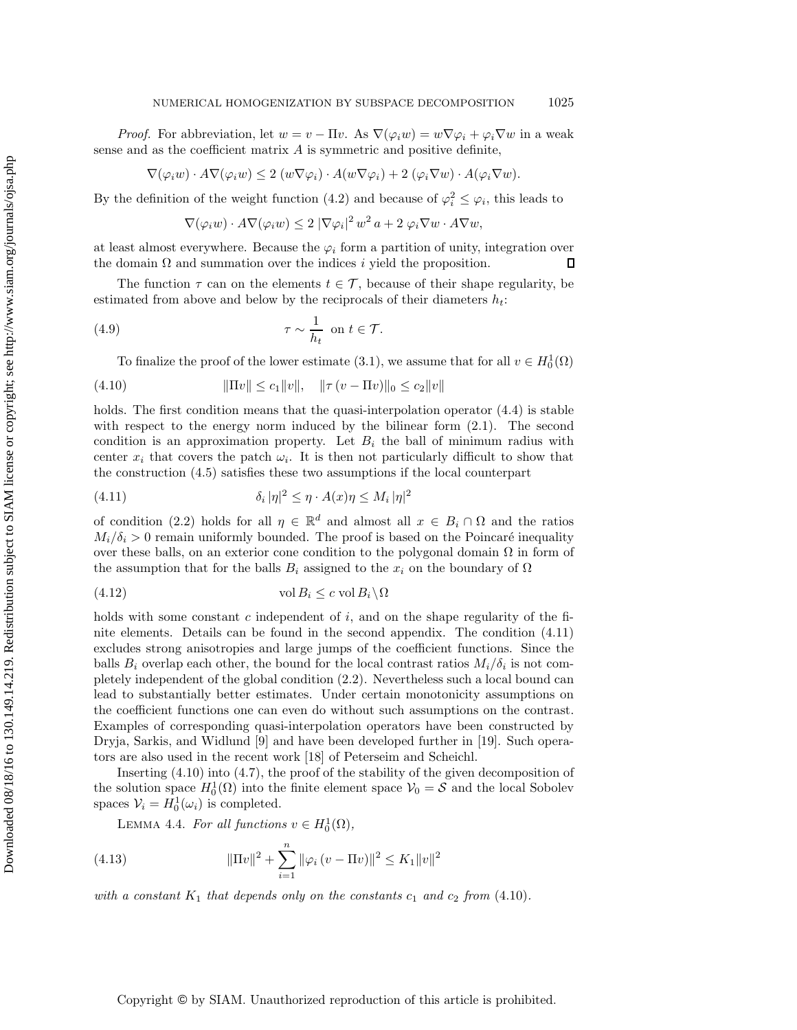*Proof.* For abbreviation, let  $w = v - \Pi v$ . As  $\nabla(\varphi_i w) = w \nabla \varphi_i + \varphi_i \nabla w$  in a weak sense and as the coefficient matrix  $A$  is symmetric and positive definite,

$$
\nabla(\varphi_i w) \cdot A \nabla(\varphi_i w) \leq 2 \left( w \nabla \varphi_i \right) \cdot A(w \nabla \varphi_i) + 2 \left( \varphi_i \nabla w \right) \cdot A(\varphi_i \nabla w).
$$

By the definition of the weight function [\(4.2\)](#page-7-0) and because of  $\varphi_i^2 \leq \varphi_i$ , this leads to

$$
\nabla(\varphi_i w) \cdot A \nabla(\varphi_i w) \le 2 |\nabla \varphi_i|^2 w^2 a + 2 \varphi_i \nabla w \cdot A \nabla w,
$$

at least almost everywhere. Because the  $\varphi_i$  form a partition of unity, integration over the domain  $\Omega$  and summation over the indices i yield the proposition.  $\Box$ 

The function  $\tau$  can on the elements  $t \in \mathcal{T}$ , because of their shape regularity, be estimated from above and below by the reciprocals of their diameters  $h_t$ :

(4.9) 
$$
\tau \sim \frac{1}{h_t} \text{ on } t \in \mathcal{T}.
$$

<span id="page-8-1"></span>To finalize the proof of the lower estimate [\(3.1\)](#page-4-0), we assume that for all  $v \in H_0^1(\Omega)$ 

(4.10) 
$$
\|\Pi v\| \le c_1 \|v\|, \quad \|\tau (v - \Pi v)\|_0 \le c_2 \|v\|
$$

holds. The first condition means that the quasi-interpolation operator  $(4.4)$  is stable with respect to the energy norm induced by the bilinear form  $(2.1)$ . The second condition is an approximation property. Let  $B_i$  the ball of minimum radius with center  $x_i$  that covers the patch  $\omega_i$ . It is then not particularly difficult to show that the construction [\(4.5\)](#page-7-2) satisfies these two assumptions if the local counterpart

<span id="page-8-0"></span>
$$
(4.11)\qquad \qquad \delta_i \, |\eta|^2 \le \eta \cdot A(x)\eta \le M_i \, |\eta|^2
$$

of condition [\(2.2\)](#page-2-1) holds for all  $\eta \in \mathbb{R}^d$  and almost all  $x \in B_i \cap \Omega$  and the ratios  $M_i/\delta_i > 0$  remain uniformly bounded. The proof is based on the Poincaré inequality over these balls, on an exterior cone condition to the polygonal domain  $\Omega$  in form of the assumption that for the balls  $B_i$  assigned to the  $x_i$  on the boundary of  $\Omega$ 

<span id="page-8-2"></span>(4.12) 
$$
\operatorname{vol} B_i \leq c \operatorname{vol} B_i \setminus \Omega
$$

holds with some constant c independent of  $i$ , and on the shape regularity of the finite elements. Details can be found in the second appendix. The condition [\(4.11\)](#page-8-0) excludes strong anisotropies and large jumps of the coefficient functions. Since the balls  $B_i$  overlap each other, the bound for the local contrast ratios  $M_i/\delta_i$  is not completely independent of the global condition [\(2.2\)](#page-2-1). Nevertheless such a local bound can lead to substantially better estimates. Under certain monotonicity assumptions on the coefficient functions one can even do without such assumptions on the contrast. Examples of corresponding quasi-interpolation operators have been constructed by Dryja, Sarkis, and Widlund [\[9\]](#page-18-16) and have been developed further in [\[19\]](#page-18-14). Such operators are also used in the recent work [\[18\]](#page-18-17) of Peterseim and Scheichl.

Inserting [\(4.10\)](#page-8-1) into [\(4.7\)](#page-7-3), the proof of the stability of the given decomposition of the solution space  $H_0^1(\Omega)$  into the finite element space  $\mathcal{V}_0 = \mathcal{S}$  and the local Sobolev spaces  $V_i = H_0^1(\omega_i)$  is completed.

LEMMA 4.4. *For all functions*  $v \in H_0^1(\Omega)$ ,

(4.13) 
$$
\|\Pi v\|^2 + \sum_{i=1}^n \|\varphi_i\left(v - \Pi v\right)\|^2 \le K_1 \|v\|^2
$$

with a constant  $K_1$  that depends only on the constants  $c_1$  and  $c_2$  from [\(4.10\)](#page-8-1).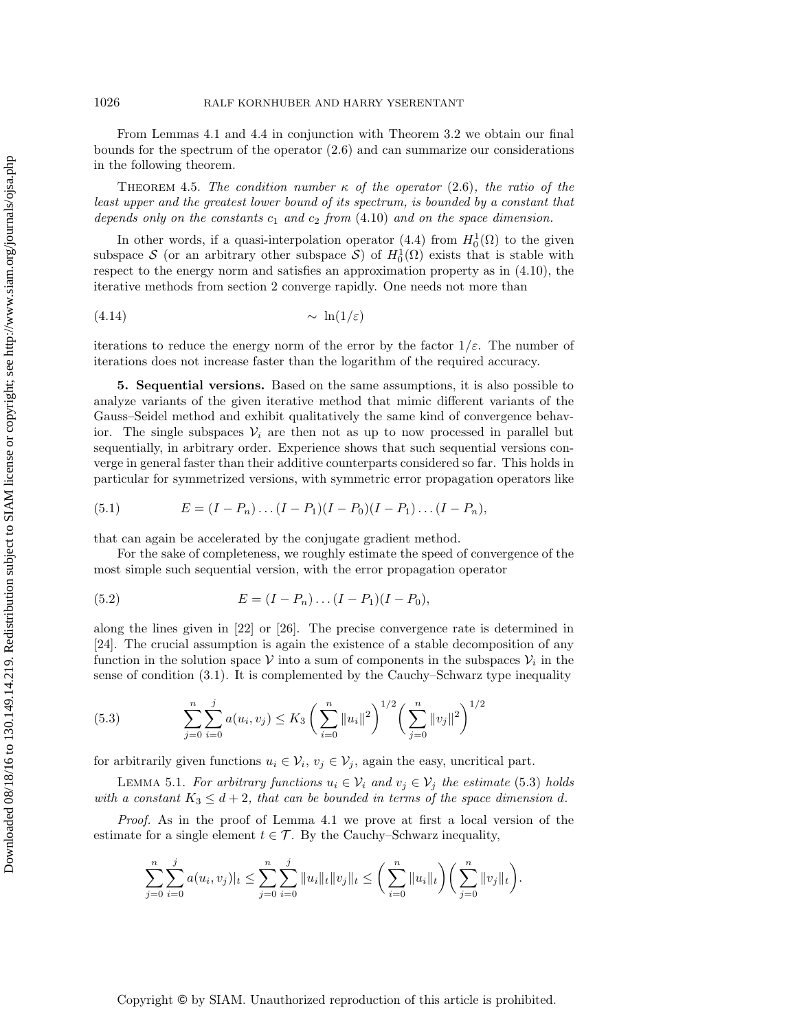From Lemmas [4.1](#page-6-3) and [4.4](#page-7-1) in conjunction with Theorem [3.2](#page-4-3) we obtain our final bounds for the spectrum of the operator [\(2.6\)](#page-3-1) and can summarize our considerations in the following theorem.

THEOREM 4.5. *The condition number*  $\kappa$  *of the operator* [\(2.6\)](#page-3-1)*, the ratio of the least upper and the greatest lower bound of its spectrum, is bounded by a constant that depends only on the constants*  $c_1$  *and*  $c_2$  *from* [\(4.10\)](#page-8-1) *and on the space dimension.* 

In other words, if a quasi-interpolation operator [\(4.4\)](#page-7-1) from  $H_0^1(\Omega)$  to the given subspace S (or an arbitrary other subspace S) of  $H_0^1(\Omega)$  exists that is stable with respect to the energy norm and satisfies an approximation property as in [\(4.10\)](#page-8-1), the iterative methods from section [2](#page-2-3) converge rapidly. One needs not more than

$$
\sim \ln(1/\varepsilon)
$$

iterations to reduce the energy norm of the error by the factor  $1/\varepsilon$ . The number of iterations does not increase faster than the logarithm of the required accuracy.

<span id="page-9-1"></span>**5. Sequential versions.** Based on the same assumptions, it is also possible to analyze variants of the given iterative method that mimic different variants of the Gauss–Seidel method and exhibit qualitatively the same kind of convergence behavior. The single subspaces  $V_i$  are then not as up to now processed in parallel but sequentially, in arbitrary order. Experience shows that such sequential versions converge in general faster than their additive counterparts considered so far. This holds in particular for symmetrized versions, with symmetric error propagation operators like

(5.1) 
$$
E = (I - P_n) \dots (I - P_1)(I - P_0)(I - P_1) \dots (I - P_n),
$$

that can again be accelerated by the conjugate gradient method.

For the sake of completeness, we roughly estimate the speed of convergence of the most simple such sequential version, with the error propagation operator

<span id="page-9-2"></span>(5.2) 
$$
E = (I - P_n) \dots (I - P_1)(I - P_0),
$$

along the lines given in [\[22\]](#page-19-0) or [\[26\]](#page-19-1). The precise convergence rate is determined in [\[24\]](#page-19-5). The crucial assumption is again the existence of a stable decomposition of any function in the solution space V into a sum of components in the subspaces  $V_i$  in the sense of condition [\(3.1\)](#page-4-0). It is complemented by the Cauchy–Schwarz type inequality

<span id="page-9-0"></span>(5.3) 
$$
\sum_{j=0}^{n} \sum_{i=0}^{j} a(u_i, v_j) \le K_3 \left( \sum_{i=0}^{n} ||u_i||^2 \right)^{1/2} \left( \sum_{j=0}^{n} ||v_j||^2 \right)^{1/2}
$$

for arbitrarily given functions  $u_i \in \mathcal{V}_i$ ,  $v_j \in \mathcal{V}_j$ , again the easy, uncritical part.

LEMMA 5.1. *For arbitrary functions*  $u_i \in V_i$  *and*  $v_j \in V_j$  *the estimate* [\(5.3\)](#page-9-0) *holds with a constant*  $K_3 \leq d+2$ *, that can be bounded in terms of the space dimension d.* 

*Proof.* As in the proof of Lemma [4.1](#page-6-3) we prove at first a local version of the estimate for a single element  $t \in \mathcal{T}$ . By the Cauchy–Schwarz inequality,

$$
\sum_{j=0}^n \sum_{i=0}^j a(u_i, v_j)|_t \leq \sum_{j=0}^n \sum_{i=0}^j \|u_i\|_t \|v_j\|_t \leq \bigg(\sum_{i=0}^n \|u_i\|_t \bigg) \bigg(\sum_{j=0}^n \|v_j\|_t \bigg).
$$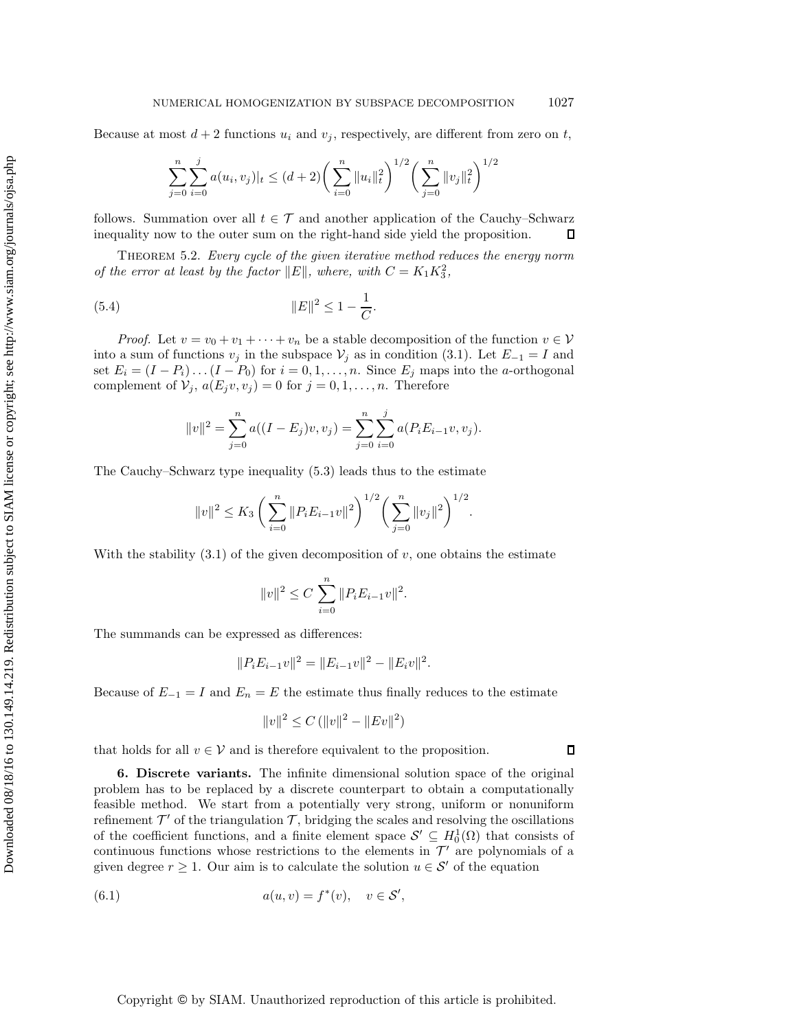Because at most  $d+2$  functions  $u_i$  and  $v_j$ , respectively, are different from zero on t,

$$
\sum_{j=0}^{n} \sum_{i=0}^{j} a(u_i, v_j)|_t \leq (d+2) \bigg( \sum_{i=0}^{n} ||u_i||_t^2 \bigg)^{1/2} \bigg( \sum_{j=0}^{n} ||v_j||_t^2 \bigg)^{1/2}
$$

follows. Summation over all  $t \in \mathcal{T}$  and another application of the Cauchy–Schwarz inequality now to the outer sum on the right-hand side yield the proposition.  $\Box$ 

Theorem 5.2. *Every cycle of the given iterative method reduces the energy norm of the error at least by the factor*  $||E||$ *, where, with*  $C = K_1 K_3^2$ *,* 

(5.4) 
$$
||E||^2 \le 1 - \frac{1}{C}.
$$

*Proof.* Let  $v = v_0 + v_1 + \cdots + v_n$  be a stable decomposition of the function  $v \in V$ into a sum of functions  $v_j$  in the subspace  $\mathcal{V}_j$  as in condition [\(3.1\)](#page-4-0). Let  $E_{-1} = I$  and set  $E_i = (I - P_i) \dots (I - P_0)$  for  $i = 0, 1, \dots, n$ . Since  $E_j$  maps into the *a*-orthogonal complement of  $\mathcal{V}_j$ ,  $a(E_j v, v_j) = 0$  for  $j = 0, 1, \ldots, n$ . Therefore

$$
||v||2 = \sum_{j=0}^{n} a((I - E_j)v, v_j) = \sum_{j=0}^{n} \sum_{i=0}^{j} a(P_i E_{i-1}v, v_j).
$$

The Cauchy–Schwarz type inequality [\(5.3\)](#page-9-0) leads thus to the estimate

$$
||v||^2 \le K_3 \left(\sum_{i=0}^n ||P_i E_{i-1} v||^2\right)^{1/2} \left(\sum_{j=0}^n ||v_j||^2\right)^{1/2}.
$$

With the stability  $(3.1)$  of the given decomposition of v, one obtains the estimate

$$
||v||^2 \le C \sum_{i=0}^n ||P_i E_{i-1} v||^2.
$$

The summands can be expressed as differences:

$$
||P_iE_{i-1}v||^2 = ||E_{i-1}v||^2 - ||E_iv||^2.
$$

Because of  $E_{-1} = I$  and  $E_n = E$  the estimate thus finally reduces to the estimate

$$
||v||^2 \le C (||v||^2 - ||Ev||^2)
$$

 $\Box$ 

<span id="page-10-0"></span>that holds for all  $v \in V$  and is therefore equivalent to the proposition.

**6. Discrete variants.** The infinite dimensional solution space of the original problem has to be replaced by a discrete counterpart to obtain a computationally feasible method. We start from a potentially very strong, uniform or nonuniform refinement  $\mathcal{T}'$  of the triangulation  $\mathcal{T}$ , bridging the scales and resolving the oscillations of the coefficient functions, and a finite element space  $\mathcal{S}' \subseteq H_0^1(\Omega)$  that consists of continuous functions whose restrictions to the elements in  $\mathcal{T}'$  are polynomials of a given degree  $r \geq 1$ . Our aim is to calculate the solution  $u \in \mathcal{S}'$  of the equation

(6.1) 
$$
a(u,v) = f^*(v), \quad v \in \mathcal{S}',
$$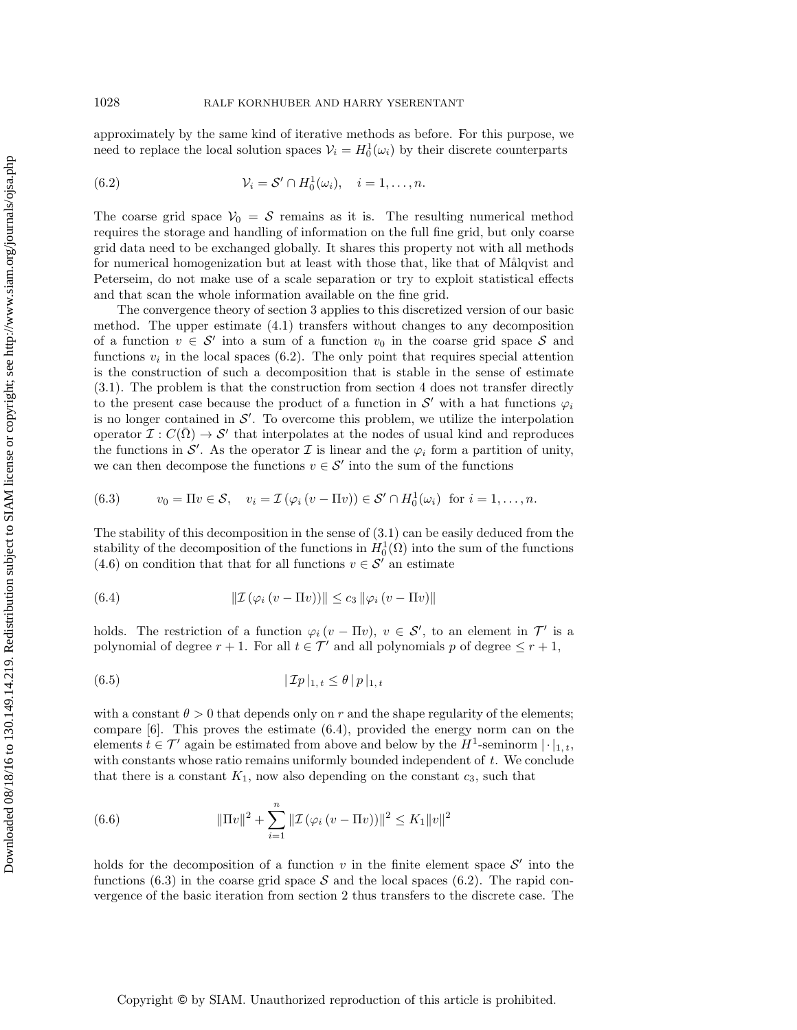approximately by the same kind of iterative methods as before. For this purpose, we need to replace the local solution spaces  $V_i = H_0^1(\omega_i)$  by their discrete counterparts

<span id="page-11-0"></span>(6.2) 
$$
\mathcal{V}_i = \mathcal{S}' \cap H_0^1(\omega_i), \quad i = 1, \dots, n.
$$

The coarse grid space  $V_0 = S$  remains as it is. The resulting numerical method requires the storage and handling of information on the full fine grid, but only coarse grid data need to be exchanged globally. It shares this property not with all methods for numerical homogenization but at least with those that, like that of Målqvist and Peterseim, do not make use of a scale separation or try to exploit statistical effects and that scan the whole information available on the fine grid.

The convergence theory of section [3](#page-3-4) applies to this discretized version of our basic method. The upper estimate [\(4.1\)](#page-6-2) transfers without changes to any decomposition of a function  $v \in \mathcal{S}'$  into a sum of a function  $v_0$  in the coarse grid space S and functions  $v_i$  in the local spaces [\(6.2\)](#page-11-0). The only point that requires special attention is the construction of such a decomposition that is stable in the sense of estimate [\(3.1\)](#page-4-0). The problem is that the construction from section [4](#page-6-0) does not transfer directly to the present case because the product of a function in  $\mathcal{S}'$  with a hat functions  $\varphi_i$ is no longer contained in  $\mathcal{S}'$ . To overcome this problem, we utilize the interpolation operator  $\mathcal{I}: C(\bar{\Omega}) \to \mathcal{S}'$  that interpolates at the nodes of usual kind and reproduces the functions in  $\mathcal{S}'$ . As the operator  $\mathcal I$  is linear and the  $\varphi_i$  form a partition of unity, we can then decompose the functions  $v \in \mathcal{S}'$  into the sum of the functions

<span id="page-11-2"></span>(6.3) 
$$
v_0 = \Pi v \in \mathcal{S}, \quad v_i = \mathcal{I}(\varphi_i (v - \Pi v)) \in \mathcal{S}' \cap H_0^1(\omega_i) \text{ for } i = 1, ..., n.
$$

The stability of this decomposition in the sense of [\(3.1\)](#page-4-0) can be easily deduced from the stability of the decomposition of the functions in  $H_0^1(\Omega)$  into the sum of the functions [\(4.6\)](#page-7-4) on condition that that for all functions  $v \in \mathcal{S}'$  an estimate

<span id="page-11-1"></span>(6.4) 
$$
\|\mathcal{I}(\varphi_i(v - \Pi v))\| \leq c_3 \|\varphi_i(v - \Pi v)\|
$$

holds. The restriction of a function  $\varphi_i(v - \Pi v)$ ,  $v \in S'$ , to an element in  $\mathcal{T}'$  is a polynomial of degree  $r + 1$ . For all  $t \in \mathcal{T}'$  and all polynomials p of degree  $\leq r + 1$ ,

(6.5) 
$$
|\mathcal{I}p|_{1,t} \leq \theta |p|_{1,t}
$$

with a constant  $\theta > 0$  that depends only on r and the shape regularity of the elements; compare [\[6\]](#page-18-18). This proves the estimate [\(6.4\)](#page-11-1), provided the energy norm can on the elements  $t \in \mathcal{T}'$  again be estimated from above and below by the  $H^1$ -seminorm  $|\cdot|_{1,t}$ , with constants whose ratio remains uniformly bounded independent of t. We conclude that there is a constant  $K_1$ , now also depending on the constant  $c_3$ , such that

(6.6) 
$$
\|\Pi v\|^2 + \sum_{i=1}^n \|\mathcal{I}(\varphi_i(v - \Pi v))\|^2 \le K_1 \|v\|^2
$$

holds for the decomposition of a function v in the finite element space  $\mathcal{S}'$  into the functions [\(6.3\)](#page-11-2) in the coarse grid space S and the local spaces [\(6.2\)](#page-11-0). The rapid convergence of the basic iteration from section [2](#page-2-3) thus transfers to the discrete case. The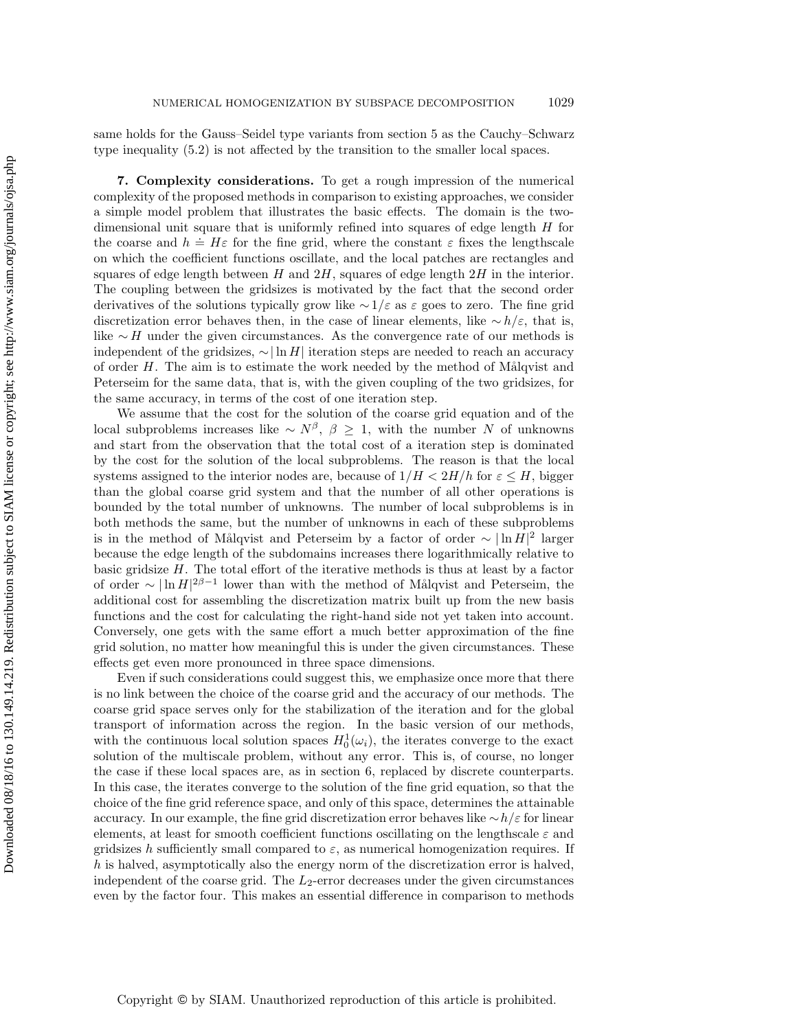same holds for the Gauss–Seidel type variants from section [5](#page-9-1) as the Cauchy–Schwarz type inequality [\(5.2\)](#page-9-2) is not affected by the transition to the smaller local spaces.

**7. Complexity considerations.** To get a rough impression of the numerical complexity of the proposed methods in comparison to existing approaches, we consider a simple model problem that illustrates the basic effects. The domain is the twodimensional unit square that is uniformly refined into squares of edge length H for dimensional unit square that is uniformly refined into squares of edge length  $H$  for<br>the coarse and  $h \doteq H\varepsilon$  for the fine grid, where the constant  $\varepsilon$  fixes the lengthscale on which the coefficient functions oscillate, and the local patches are rectangles and squares of edge length between  $H$  and  $2H$ , squares of edge length  $2H$  in the interior. The coupling between the gridsizes is motivated by the fact that the second order derivatives of the solutions typically grow like  $\sim 1/\varepsilon$  as  $\varepsilon$  goes to zero. The fine grid discretization error behaves then, in the case of linear elements, like  $\sim h/\varepsilon$ , that is, like  $\sim$  H under the given circumstances. As the convergence rate of our methods is independent of the gridsizes,  $\sim \ln H$  iteration steps are needed to reach an accuracy of order  $H$ . The aim is to estimate the work needed by the method of Målqvist and Peterseim for the same data, that is, with the given coupling of the two gridsizes, for the same accuracy, in terms of the cost of one iteration step.

We assume that the cost for the solution of the coarse grid equation and of the local subproblems increases like ∼  $N^{\beta}$ ,  $\beta \geq 1$ , with the number N of unknowns and start from the observation that the total cost of a iteration step is dominated by the cost for the solution of the local subproblems. The reason is that the local systems assigned to the interior nodes are, because of  $1/H < 2H/h$  for  $\varepsilon \leq H$ , bigger than the global coarse grid system and that the number of all other operations is bounded by the total number of unknowns. The number of local subproblems is in both methods the same, but the number of unknowns in each of these subproblems is in the method of Målqvist and Peterseim by a factor of order  $\sim \vert \ln H \vert^2$  larger because the edge length of the subdomains increases there logarithmically relative to basic gridsize H. The total effort of the iterative methods is thus at least by a factor of order ∼  $\ln H|^{2\beta-1}$  lower than with the method of Målqvist and Peterseim, the additional cost for assembling the discretization matrix built up from the new basis functions and the cost for calculating the right-hand side not yet taken into account. Conversely, one gets with the same effort a much better approximation of the fine grid solution, no matter how meaningful this is under the given circumstances. These effects get even more pronounced in three space dimensions.

Even if such considerations could suggest this, we emphasize once more that there is no link between the choice of the coarse grid and the accuracy of our methods. The coarse grid space serves only for the stabilization of the iteration and for the global transport of information across the region. In the basic version of our methods, with the continuous local solution spaces  $H_0^1(\omega_i)$ , the iterates converge to the exact solution of the multiscale problem, without any error. This is, of course, no longer the case if these local spaces are, as in section [6,](#page-10-0) replaced by discrete counterparts. In this case, the iterates converge to the solution of the fine grid equation, so that the choice of the fine grid reference space, and only of this space, determines the attainable accuracy. In our example, the fine grid discretization error behaves like  $\sim h/\varepsilon$  for linear elements, at least for smooth coefficient functions oscillating on the lengthscale  $\varepsilon$  and gridsizes h sufficiently small compared to  $\varepsilon$ , as numerical homogenization requires. If  $h$  is halved, asymptotically also the energy norm of the discretization error is halved, independent of the coarse grid. The  $L_2$ -error decreases under the given circumstances even by the factor four. This makes an essential difference in comparison to methods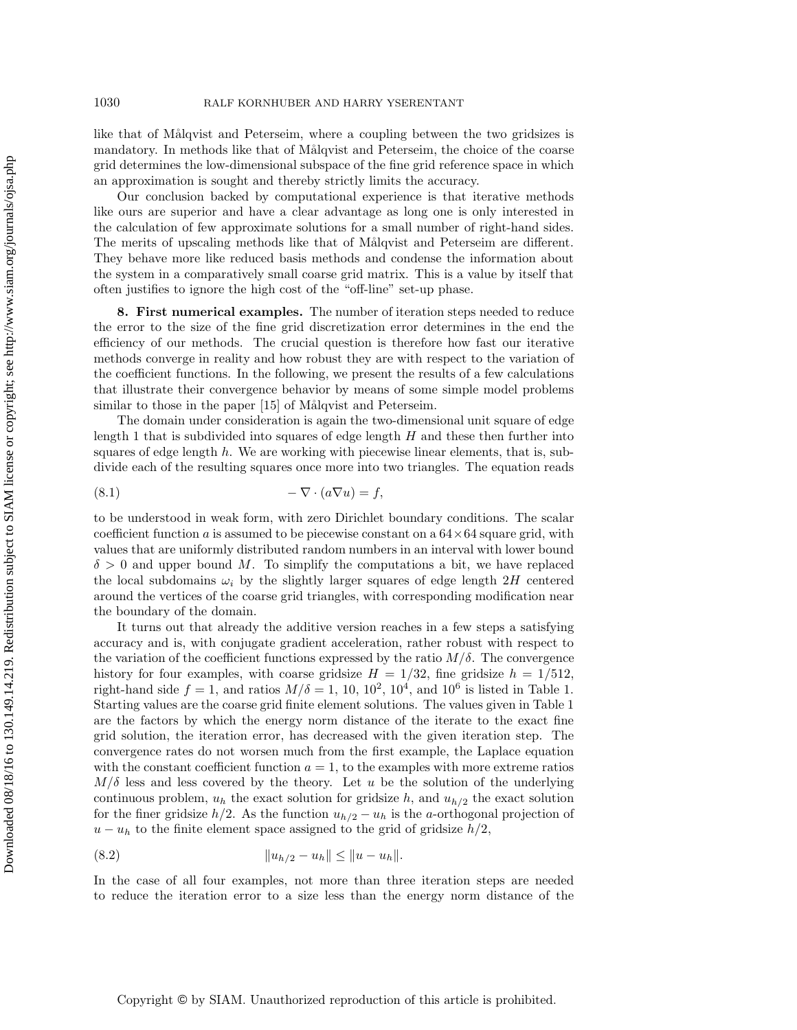like that of Målqvist and Peterseim, where a coupling between the two gridsizes is mandatory. In methods like that of Målqvist and Peterseim, the choice of the coarse grid determines the low-dimensional subspace of the fine grid reference space in which an approximation is sought and thereby strictly limits the accuracy.

Our conclusion backed by computational experience is that iterative methods like ours are superior and have a clear advantage as long one is only interested in the calculation of few approximate solutions for a small number of right-hand sides. The merits of upscaling methods like that of Målqvist and Peterseim are different. They behave more like reduced basis methods and condense the information about the system in a comparatively small coarse grid matrix. This is a value by itself that often justifies to ignore the high cost of the "off-line" set-up phase.

**8. First numerical examples.** The number of iteration steps needed to reduce the error to the size of the fine grid discretization error determines in the end the efficiency of our methods. The crucial question is therefore how fast our iterative methods converge in reality and how robust they are with respect to the variation of the coefficient functions. In the following, we present the results of a few calculations that illustrate their convergence behavior by means of some simple model problems similar to those in the paper [\[15\]](#page-18-12) of Målqvist and Peterseim.

The domain under consideration is again the two-dimensional unit square of edge length 1 that is subdivided into squares of edge length  $H$  and these then further into squares of edge length  $h$ . We are working with piecewise linear elements, that is, subdivide each of the resulting squares once more into two triangles. The equation reads

$$
(8.1) \t - \nabla \cdot (a\nabla u) = f,
$$

to be understood in weak form, with zero Dirichlet boundary conditions. The scalar coefficient function a is assumed to be piecewise constant on a  $64\times64$  square grid, with values that are uniformly distributed random numbers in an interval with lower bound  $\delta > 0$  and upper bound M. To simplify the computations a bit, we have replaced the local subdomains  $\omega_i$  by the slightly larger squares of edge length 2H centered around the vertices of the coarse grid triangles, with corresponding modification near the boundary of the domain.

It turns out that already the additive version reaches in a few steps a satisfying accuracy and is, with conjugate gradient acceleration, rather robust with respect to the variation of the coefficient functions expressed by the ratio  $M/\delta$ . The convergence history for four examples, with coarse gridsize  $H = 1/32$ , fine gridsize  $h = 1/512$ , right-hand side  $f = 1$ , and ratios  $M/\delta = 1$ , 10, 10<sup>2</sup>, 10<sup>4</sup>, and 10<sup>6</sup> is listed in Table [1.](#page-14-0) Starting values are the coarse grid finite element solutions. The values given in Table [1](#page-14-0) are the factors by which the energy norm distance of the iterate to the exact fine grid solution, the iteration error, has decreased with the given iteration step. The convergence rates do not worsen much from the first example, the Laplace equation with the constant coefficient function  $a = 1$ , to the examples with more extreme ratios  $M/\delta$  less and less covered by the theory. Let u be the solution of the underlying continuous problem,  $u_h$  the exact solution for gridsize h, and  $u_{h/2}$  the exact solution for the finer gridsize  $h/2$ . As the function  $u_{h/2} - u_h$  is the a-orthogonal projection of  $u - u_h$  to the finite element space assigned to the grid of gridsize  $h/2$ ,

(8.2) uh/<sup>2</sup> − uh≤u − uh.

In the case of all four examples, not more than three iteration steps are needed to reduce the iteration error to a size less than the energy norm distance of the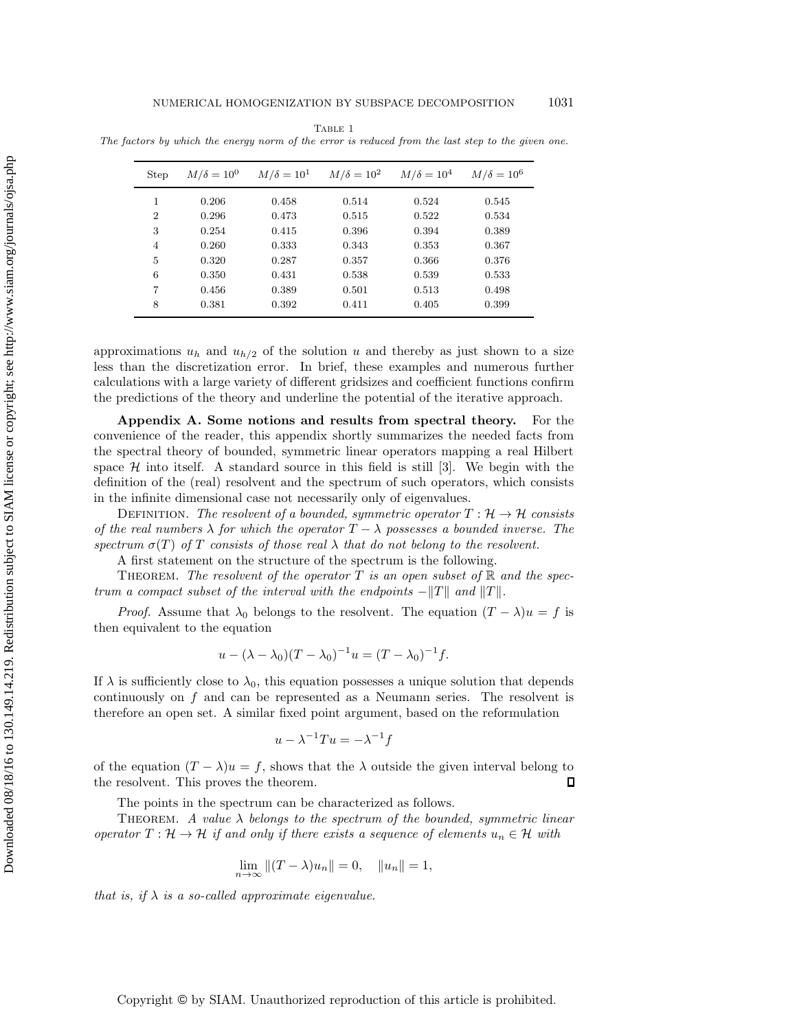| <b>Step</b>    | $M/\delta = 10^0$ | $M/\delta = 10^1$ | $M/\delta = 10^2$ | $M/\delta = 10^4$ | $M/\delta = 10^6$ |
|----------------|-------------------|-------------------|-------------------|-------------------|-------------------|
|                | 0.206             | 0.458             | 0.514             | 0.524             | 0.545             |
| $\overline{2}$ | 0.296             | 0.473             | 0.515             | 0.522             | 0.534             |
| 3              | 0.254             | 0.415             | 0.396             | 0.394             | 0.389             |
| $\overline{4}$ | 0.260             | 0.333             | 0.343             | 0.353             | 0.367             |
| 5              | 0.320             | 0.287             | 0.357             | 0.366             | 0.376             |
| 6              | 0.350             | 0.431             | 0.538             | 0.539             | 0.533             |
| 7              | 0.456             | 0.389             | 0.501             | 0.513             | 0.498             |
| 8              | 0.381             | 0.392             | 0.411             | 0.405             | 0.399             |

<span id="page-14-0"></span>Table 1 The factors by which the energy norm of the error is reduced from the last step to the given one.

approximations  $u_h$  and  $u_{h/2}$  of the solution u and thereby as just shown to a size less than the discretization error. In brief, these examples and numerous further calculations with a large variety of different gridsizes and coefficient functions confirm the predictions of the theory and underline the potential of the iterative approach.

**Appendix A. Some notions and results from spectral theory.** For the convenience of the reader, this appendix shortly summarizes the needed facts from the spectral theory of bounded, symmetric linear operators mapping a real Hilbert space  $H$  into itself. A standard source in this field is still [\[3\]](#page-18-19). We begin with the definition of the (real) resolvent and the spectrum of such operators, which consists in the infinite dimensional case not necessarily only of eigenvalues.

DEFINITION. *The resolvent of a bounded, symmetric operator*  $T : \mathcal{H} \to \mathcal{H}$  *consists of the real numbers*  $\lambda$  *for which the operator*  $T - \lambda$  *possesses a bounded inverse. The spectrum*  $\sigma(T)$  *of* T *consists of those real*  $\lambda$  *that do not belong to the resolvent.* 

A first statement on the structure of the spectrum is the following.

**THEOREM.** The resolvent of the operator T is an open subset of  $\mathbb{R}$  and the spec*trum a compact subset of the interval with the endpoints*  $-||T||$  *and*  $||T||$ *.* 

*Proof.* Assume that  $\lambda_0$  belongs to the resolvent. The equation  $(T - \lambda)u = f$  is then equivalent to the equation

$$
u - (\lambda - \lambda_0)(T - \lambda_0)^{-1}u = (T - \lambda_0)^{-1}f.
$$

If  $\lambda$  is sufficiently close to  $\lambda_0$ , this equation possesses a unique solution that depends continuously on  $f$  and can be represented as a Neumann series. The resolvent is therefore an open set. A similar fixed point argument, based on the reformulation

$$
u - \lambda^{-1}Tu = -\lambda^{-1}f
$$

of the equation  $(T - \lambda)u = f$ , shows that the  $\lambda$  outside the given interval belong to the resolvent. This proves the theorem. П

The points in the spectrum can be characterized as follows.

Theorem. *A value* λ *belongs to the spectrum of the bounded, symmetric linear operator*  $T : \mathcal{H} \to \mathcal{H}$  *if and only if there exists a sequence of elements*  $u_n \in \mathcal{H}$  *with* 

$$
\lim_{n \to \infty} ||(T - \lambda)u_n|| = 0, \quad ||u_n|| = 1,
$$

*that is, if*  $\lambda$  *is a so-called approximate eigenvalue.*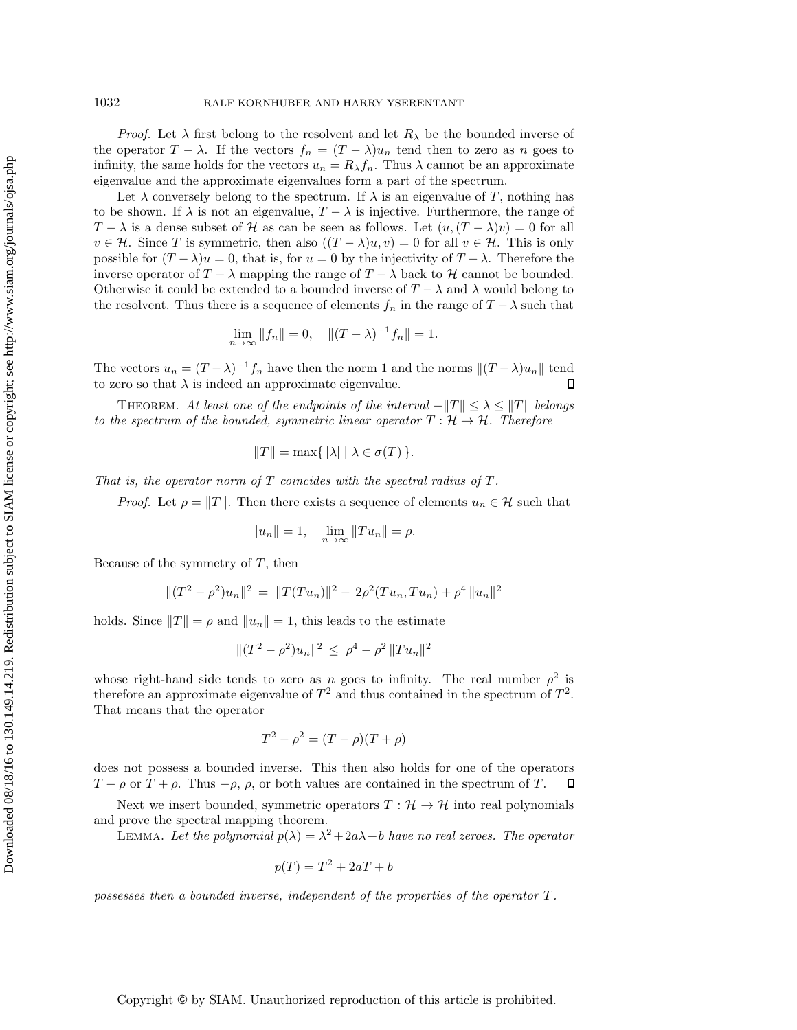*Proof.* Let  $\lambda$  first belong to the resolvent and let  $R_{\lambda}$  be the bounded inverse of the operator  $T - \lambda$ . If the vectors  $f_n = (T - \lambda)u_n$  tend then to zero as n goes to infinity, the same holds for the vectors  $u_n = R_\lambda f_n$ . Thus  $\lambda$  cannot be an approximate eigenvalue and the approximate eigenvalues form a part of the spectrum.

Let  $\lambda$  conversely belong to the spectrum. If  $\lambda$  is an eigenvalue of T, nothing has to be shown. If  $\lambda$  is not an eigenvalue,  $T - \lambda$  is injective. Furthermore, the range of  $T - \lambda$  is a dense subset of H as can be seen as follows. Let  $(u,(T - \lambda)v) = 0$  for all  $v \in \mathcal{H}$ . Since T is symmetric, then also  $((T - \lambda)u, v) = 0$  for all  $v \in \mathcal{H}$ . This is only possible for  $(T - \lambda)u = 0$ , that is, for  $u = 0$  by the injectivity of  $T - \lambda$ . Therefore the inverse operator of  $T - \lambda$  mapping the range of  $T - \lambda$  back to  $\mathcal{H}$  cannot be bounded. Otherwise it could be extended to a bounded inverse of  $T - \lambda$  and  $\lambda$  would belong to the resolvent. Thus there is a sequence of elements  $f_n$  in the range of  $T - \lambda$  such that

$$
\lim_{n \to \infty} ||f_n|| = 0, \quad ||(T - \lambda)^{-1} f_n|| = 1.
$$

The vectors  $u_n = (T - \lambda)^{-1} f_n$  have then the norm 1 and the norms  $||(T - \lambda)u_n||$  tend to zero so that  $\lambda$  is indeed an approximate eigenvalue. Л

THEOREM. At least one of the endpoints of the interval  $-\|T\| \leq \lambda \leq \|T\|$  belongs *to the spectrum of the bounded, symmetric linear operator*  $T : \mathcal{H} \to \mathcal{H}$ *. Therefore* 

$$
||T|| = \max\{ |\lambda| | \lambda \in \sigma(T) \}.
$$

*That is, the operator norm of* T *coincides with the spectral radius of* T *.*

*Proof.* Let  $\rho = ||T||$ . Then there exists a sequence of elements  $u_n \in H$  such that

$$
||u_n|| = 1
$$
,  $\lim_{n \to \infty} ||Tu_n|| = \rho$ .

Because of the symmetry of  $T$ , then

$$
||(T^{2} - \rho^{2})u_{n}||^{2} = ||T(Tu_{n})||^{2} - 2\rho^{2}(Tu_{n}, Tu_{n}) + \rho^{4}||u_{n}||^{2}
$$

holds. Since  $||T|| = \rho$  and  $||u_n|| = 1$ , this leads to the estimate

$$
||(T^2 - \rho^2)u_n||^2 \leq \rho^4 - \rho^2 ||Tu_n||^2
$$

whose right-hand side tends to zero as n goes to infinity. The real number  $\rho^2$  is therefore an approximate eigenvalue of  $T^2$  and thus contained in the spectrum of  $T^2$ . That means that the operator

$$
T^{2} - \rho^{2} = (T - \rho)(T + \rho)
$$

does not possess a bounded inverse. This then also holds for one of the operators  $T - \rho$  or  $T + \rho$ . Thus  $-\rho$ ,  $\rho$ , or both values are contained in the spectrum of T.  $\Box$ 

Next we insert bounded, symmetric operators  $T : \mathcal{H} \to \mathcal{H}$  into real polynomials and prove the spectral mapping theorem.

LEMMA. Let the polynomial  $p(\lambda) = \lambda^2 + 2a\lambda + b$  have no real zeroes. The operator

$$
p(T) = T^2 + 2aT + b
$$

*possesses then a bounded inverse, independent of the properties of the operator* T *.*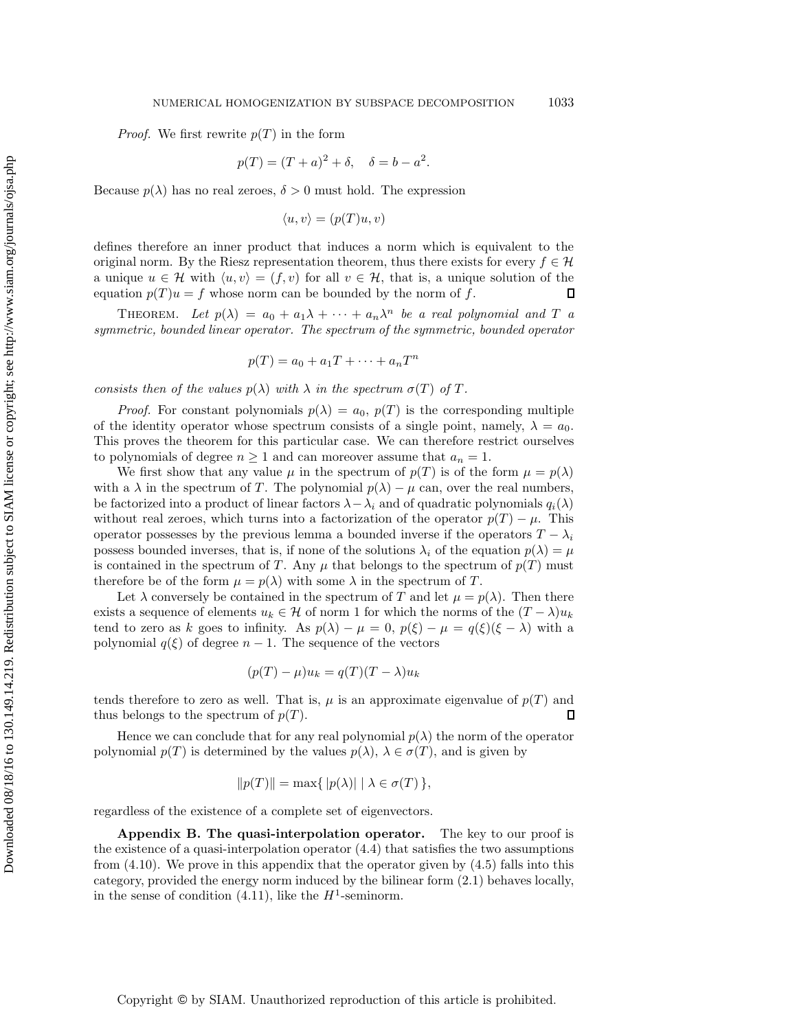*Proof.* We first rewrite  $p(T)$  in the form

$$
p(T) = (T + a)^2 + \delta, \quad \delta = b - a^2.
$$

Because  $p(\lambda)$  has no real zeroes,  $\delta > 0$  must hold. The expression

$$
\langle u, v \rangle = (p(T)u, v)
$$

defines therefore an inner product that induces a norm which is equivalent to the original norm. By the Riesz representation theorem, thus there exists for every  $f \in \mathcal{H}$ a unique  $u \in \mathcal{H}$  with  $\langle u, v \rangle = (f, v)$  for all  $v \in \mathcal{H}$ , that is, a unique solution of the equation  $p(T)u = f$  whose norm can be bounded by the norm of f.  $\Box$ 

THEOREM. Let  $p(\lambda) = a_0 + a_1\lambda + \cdots + a_n\lambda^n$  be a real polynomial and T a *symmetric, bounded linear operator. The spectrum of the symmetric, bounded operator*

$$
p(T) = a_0 + a_1 T + \dots + a_n T^n
$$

*consists then of the values*  $p(\lambda)$  *with*  $\lambda$  *in the spectrum*  $\sigma(T)$  *of*  $T$ *.* 

*Proof.* For constant polynomials  $p(\lambda) = a_0$ ,  $p(T)$  is the corresponding multiple of the identity operator whose spectrum consists of a single point, namely,  $\lambda = a_0$ . This proves the theorem for this particular case. We can therefore restrict ourselves to polynomials of degree  $n \geq 1$  and can moreover assume that  $a_n = 1$ .

We first show that any value  $\mu$  in the spectrum of  $p(T)$  is of the form  $\mu = p(\lambda)$ with a  $\lambda$  in the spectrum of T. The polynomial  $p(\lambda) - \mu$  can, over the real numbers, be factorized into a product of linear factors  $\lambda - \lambda_i$  and of quadratic polynomials  $q_i(\lambda)$ without real zeroes, which turns into a factorization of the operator  $p(T) - \mu$ . This operator possesses by the previous lemma a bounded inverse if the operators  $T - \lambda_i$ possess bounded inverses, that is, if none of the solutions  $\lambda_i$  of the equation  $p(\lambda) = \mu$ is contained in the spectrum of T. Any  $\mu$  that belongs to the spectrum of  $p(T)$  must therefore be of the form  $\mu = p(\lambda)$  with some  $\lambda$  in the spectrum of T.

Let  $\lambda$  conversely be contained in the spectrum of T and let  $\mu = p(\lambda)$ . Then there exists a sequence of elements  $u_k \in \mathcal{H}$  of norm 1 for which the norms of the  $(T - \lambda)u_k$ tend to zero as k goes to infinity. As  $p(\lambda) - \mu = 0$ ,  $p(\xi) - \mu = q(\xi)(\xi - \lambda)$  with a polynomial  $q(\xi)$  of degree  $n-1$ . The sequence of the vectors

$$
(p(T) - \mu)u_k = q(T)(T - \lambda)u_k
$$

tends therefore to zero as well. That is,  $\mu$  is an approximate eigenvalue of  $p(T)$  and thus belongs to the spectrum of  $p(T)$ .  $\Box$ 

Hence we can conclude that for any real polynomial  $p(\lambda)$  the norm of the operator polynomial  $p(T)$  is determined by the values  $p(\lambda)$ ,  $\lambda \in \sigma(T)$ , and is given by

$$
||p(T)|| = \max\{|p(\lambda)| \mid \lambda \in \sigma(T)\},
$$

regardless of the existence of a complete set of eigenvectors.

**Appendix B. The quasi-interpolation operator.** The key to our proof is the existence of a quasi-interpolation operator [\(4.4\)](#page-7-1) that satisfies the two assumptions from [\(4.10\)](#page-8-1). We prove in this appendix that the operator given by [\(4.5\)](#page-7-2) falls into this category, provided the energy norm induced by the bilinear form [\(2.1\)](#page-2-0) behaves locally, in the sense of condition [\(4.11\)](#page-8-0), like the  $H^1$ -seminorm.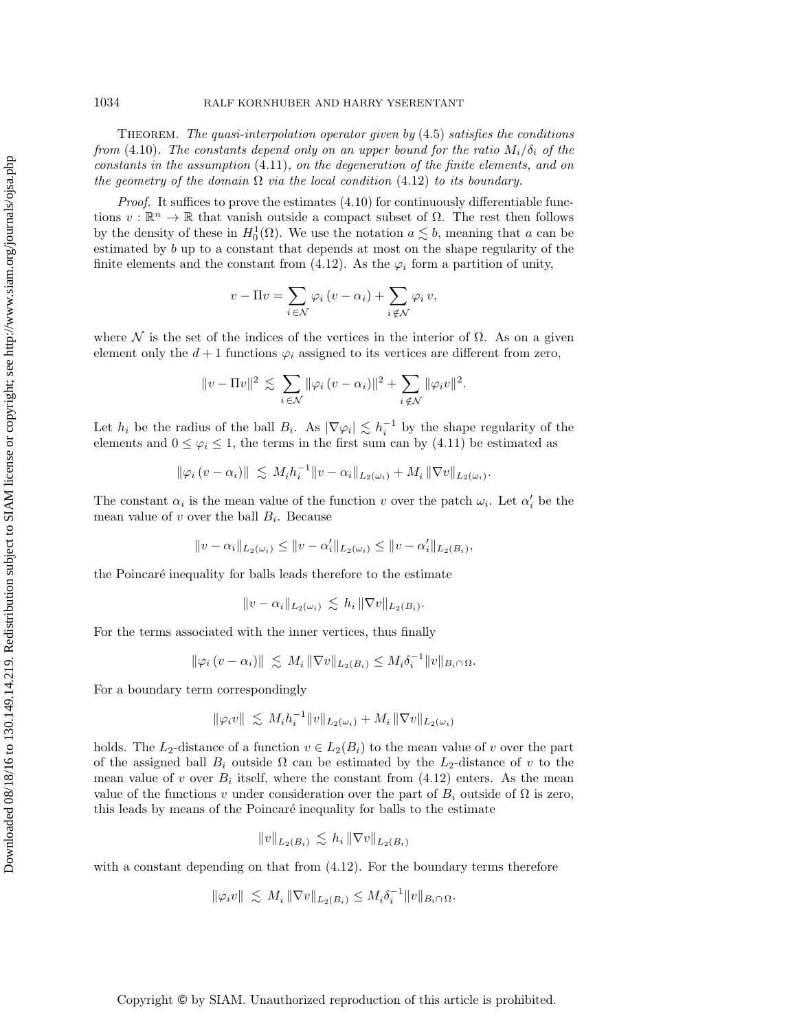#### 1034 RALF KORNHUBER AND HARRY YSERENTANT

Theorem. *The quasi-interpolation operator given by* [\(4.5\)](#page-7-2) *satisfies the conditions from* [\(4.10\)](#page-8-1)*. The constants depend only on an upper bound for the ratio*  $M_i/\delta_i$  *of the constants in the assumption* [\(4.11\)](#page-8-0)*, on the degeneration of the finite elements, and on the geometry of the domain*  $\Omega$  *via the local condition* [\(4.12\)](#page-8-2) *to its boundary.* 

*Proof.* It suffices to prove the estimates [\(4.10\)](#page-8-1) for continuously differentiable functions  $v : \mathbb{R}^n \to \mathbb{R}$  that vanish outside a compact subset of  $\Omega$ . The rest then follows by the density of these in  $H_0^1(\Omega)$ . We use the notation  $a \lesssim b$ , meaning that a can be estimated by b up to a constant that depends at most on the shape regularity of the finite elements and the constant from [\(4.12\)](#page-8-2). As the  $\varphi_i$  form a partition of unity,

$$
v - \Pi v = \sum_{i \in \mathcal{N}} \varphi_i \left( v - \alpha_i \right) + \sum_{i \notin \mathcal{N}} \varphi_i \, v,
$$

where N is the set of the indices of the vertices in the interior of  $\Omega$ . As on a given element only the  $d+1$  functions  $\varphi_i$  assigned to its vertices are different from zero,

$$
||v - \Pi v||^{2} \lesssim \sum_{i \in \mathcal{N}} ||\varphi_{i} (v - \alpha_{i})||^{2} + \sum_{i \notin \mathcal{N}} ||\varphi_{i} v||^{2}.
$$

Let  $h_i$  be the radius of the ball  $B_i$ . As  $|\nabla \varphi_i| \lesssim h_i^{-1}$  by the shape regularity of the elements and  $0 \leq \varphi_i \leq 1$ , the terms in the first sum can by [\(4.11\)](#page-8-0) be estimated as

$$
\|\varphi_i\, (v - \alpha_i)\| \leq M_i h_i^{-1} \|v - \alpha_i\|_{L_2(\omega_i)} + M_i \, \|\nabla v\|_{L_2(\omega_i)}.
$$

The constant  $\alpha_i$  is the mean value of the function v over the patch  $\omega_i$ . Let  $\alpha'_i$  be the mean value of  $v$  over the ball  $B_i$ . Because

$$
||v - \alpha_i||_{L_2(\omega_i)} \le ||v - \alpha'_i||_{L_2(\omega_i)} \le ||v - \alpha'_i||_{L_2(B_i)},
$$

the Poincaré inequality for balls leads therefore to the estimate

$$
||v - \alpha_i||_{L_2(\omega_i)} \lesssim h_i ||\nabla v||_{L_2(B_i)}.
$$

For the terms associated with the inner vertices, thus finally

$$
\|\varphi_i\left(v-\alpha_i\right)\|\ \lesssim\ M_i\, \|\nabla v\|_{L_2(B_i)}\leq M_i\delta_i^{-1}\|v\|_{B_i\cap\,\Omega}.
$$

For a boundary term correspondingly

$$
\|\varphi_i v\| \ \lesssim \ M_i h_i^{-1} \|v\|_{L_2(\omega_i)} + M_i \, \|\nabla v\|_{L_2(\omega_i)}
$$

holds. The L<sub>2</sub>-distance of a function  $v \in L_2(B_i)$  to the mean value of v over the part of the assigned ball  $B_i$  outside  $\Omega$  can be estimated by the  $L_2$ -distance of v to the mean value of v over  $B_i$  itself, where the constant from  $(4.12)$  enters. As the mean value of the functions v under consideration over the part of  $B_i$  outside of  $\Omega$  is zero, this leads by means of the Poincaré inequality for balls to the estimate

$$
||v||_{L_2(B_i)} \leq h_i ||\nabla v||_{L_2(B_i)}
$$

with a constant depending on that from  $(4.12)$ . For the boundary terms therefore

$$
\|\varphi_i v\| \ \lesssim \ M_i \, \|\nabla v\|_{L_2(B_i)} \leq M_i \delta_i^{-1} \|v\|_{B_i \cap \Omega}.
$$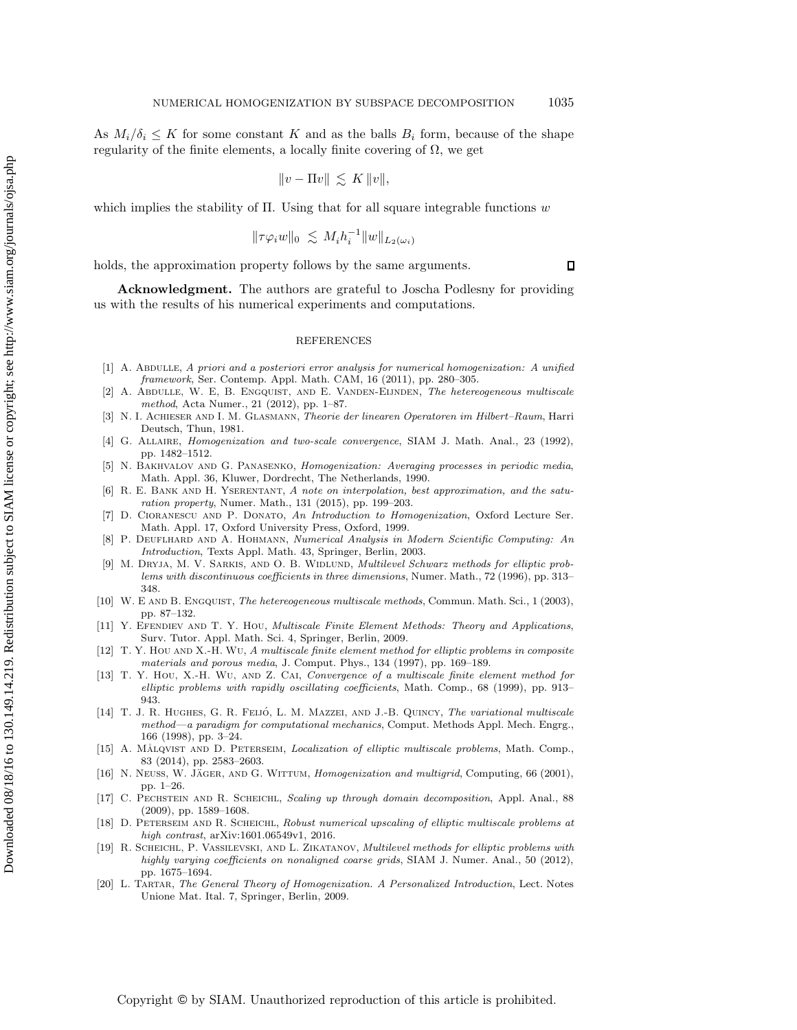As  $M_i/\delta_i \leq K$  for some constant K and as the balls  $B_i$  form, because of the shape regularity of the finite elements, a locally finite covering of  $\Omega$ , we get

$$
||v - \Pi v|| \leq K ||v||,
$$

which implies the stability of  $\Pi$ . Using that for all square integrable functions w

$$
\|\tau\varphi_i w\|_0 \ \lesssim \ M_i h_i^{-1} \|w\|_{L_2(\omega_i)}
$$

 $\Box$ 

holds, the approximation property follows by the same arguments.

**Acknowledgment.** The authors are grateful to Joscha Podlesny for providing us with the results of his numerical experiments and computations.

#### REFERENCES

- <span id="page-18-10"></span>[1] A. Abdulle, A priori and a posteriori error analysis for numerical homogenization: A unified framework, Ser. Contemp. Appl. Math. CAM, 16 (2011), pp. 280–305.
- <span id="page-18-7"></span>[2] A. Abdulle, W. E, B. Engquist, and E. Vanden-Eijnden, The hetereogeneous multiscale method, Acta Numer., 21 (2012), pp. 1–87.
- <span id="page-18-19"></span>[3] N. I. Achieser and I. M. Glasmann, Theorie der linearen Operatoren im Hilbert–Raum, Harri Deutsch, Thun, 1981.
- <span id="page-18-0"></span>[4] G. Allaire, Homogenization and two-scale convergence, SIAM J. Math. Anal., 23 (1992), pp. 1482–1512.
- <span id="page-18-1"></span>N. BAKHVALOV AND G. PANASENKO, Homogenization: Averaging processes in periodic media, Math. Appl. 36, Kluwer, Dordrecht, The Netherlands, 1990.
- <span id="page-18-18"></span>[6] R. E. Bank and H. Yserentant, A note on interpolation, best approximation, and the saturation property, Numer. Math., 131 (2015), pp. 199–203.
- <span id="page-18-2"></span>[7] D. Cioranescu and P. Donato, An Introduction to Homogenization, Oxford Lecture Ser. Math. Appl. 17, Oxford University Press, Oxford, 1999.
- <span id="page-18-15"></span>[8] P. Deuflhard and A. Hohmann, Numerical Analysis in Modern Scientific Computing: An Introduction, Texts Appl. Math. 43, Springer, Berlin, 2003.
- <span id="page-18-16"></span>[9] M. DRYJA, M. V. SARKIS, AND O. B. WIDLUND, *Multilevel Schwarz methods for elliptic prob*lems with discontinuous coefficients in three dimensions, Numer. Math., 72 (1996), pp. 313– 348.
- <span id="page-18-6"></span>[10] W. E AND B. ENGQUIST, The hetereogeneous multiscale methods, Commun. Math. Sci., 1 (2003). pp. 87–132.
- <span id="page-18-8"></span>[11] Y. Efendiev and T. Y. Hou, Multiscale Finite Element Methods: Theory and Applications, Surv. Tutor. Appl. Math. Sci. 4, Springer, Berlin, 2009.
- <span id="page-18-9"></span>[12] T. Y. HOU AND X.-H. WU, A multiscale finite element method for elliptic problems in composite materials and porous media, J. Comput. Phys., 134 (1997), pp. 169–189.
- <span id="page-18-11"></span>[13] T. Y. HOU, X.-H. WU, AND Z. CAI, Convergence of a multiscale finite element method for elliptic problems with rapidly oscillating coefficients, Math. Comp., 68 (1999), pp. 913– 943.
- <span id="page-18-5"></span>[14] T. J. R. HUGHES, G. R. FEIJÓ, L. M. MAZZEI, AND J.-B. QUINCY, The variational multiscale method—a paradigm for computational mechanics, Comput. Methods Appl. Mech. Engrg., 166 (1998), pp. 3–24.
- <span id="page-18-12"></span>[15] A. MÅLQVIST AND D. PETERSEIM, *Localization of elliptic multiscale problems*, Math. Comp., 83 (2014), pp. 2583–2603.
- <span id="page-18-4"></span>[16] N. Neuss, W. JÄGER, AND G. WITTUM, *Homogenization and multigrid*, Computing, 66 (2001), pp. 1–26.
- <span id="page-18-13"></span>[17] C. Pechstein and R. Scheichl, Scaling up through domain decomposition, Appl. Anal., 88 (2009), pp. 1589–1608.
- <span id="page-18-17"></span>[18] D. PETERSEIM AND R. SCHEICHL, Robust numerical upscaling of elliptic multiscale problems at high contrast, arXiv:1601.06549v1, 2016.
- <span id="page-18-14"></span>[19] R. Scheichl, P. Vassilevski, and L. Zikatanov, Multilevel methods for elliptic problems with highly varying coefficients on nonaligned coarse grids, SIAM J. Numer. Anal., 50 (2012), pp. 1675–1694.
- <span id="page-18-3"></span>[20] L. Tartar, The General Theory of Homogenization. A Personalized Introduction, Lect. Notes Unione Mat. Ital. 7, Springer, Berlin, 2009.